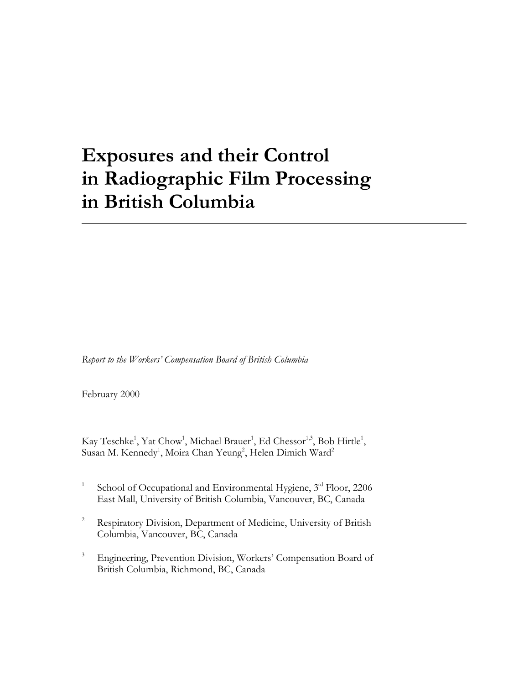## **Exposures and their Control in Radiographic Film Processing in British Columbia**

 $\overline{a}$ 

*Report to the Workers' Compensation Board of British Columbia*

February 2000

Kay Teschke<sup>1</sup>, Yat Chow<sup>1</sup>, Michael Brauer<sup>1</sup>, Ed Chessor<sup>1,3</sup>, Bob Hirtle<sup>1</sup>, Susan M. Kennedy<sup>1</sup>, Moira Chan Yeung<sup>2</sup>, Helen Dimich Ward<sup>2</sup>

- <sup>1</sup> School of Occupational and Environmental Hygiene,  $3<sup>rd</sup>$  Floor, 2206 East Mall, University of British Columbia, Vancouver, BC, Canada
- <sup>2</sup> Respiratory Division, Department of Medicine, University of British Columbia, Vancouver, BC, Canada
- <sup>3</sup> Engineering, Prevention Division, Workers' Compensation Board of British Columbia, Richmond, BC, Canada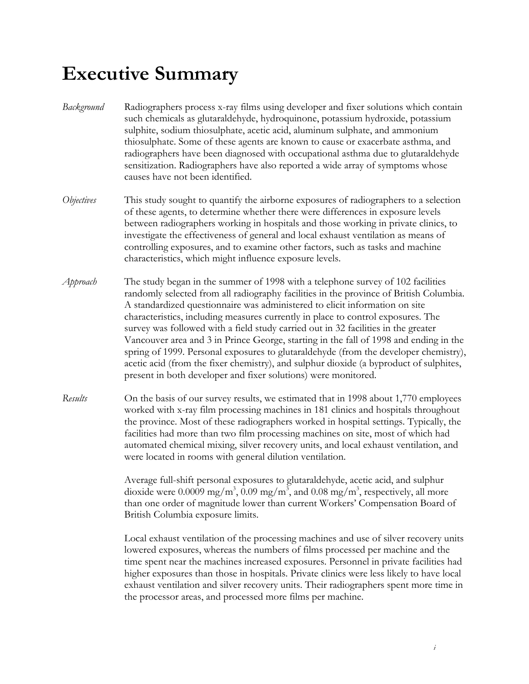## **Executive Summary**

- *Background* Radiographers process x-ray films using developer and fixer solutions which contain such chemicals as glutaraldehyde, hydroquinone, potassium hydroxide, potassium sulphite, sodium thiosulphate, acetic acid, aluminum sulphate, and ammonium thiosulphate. Some of these agents are known to cause or exacerbate asthma, and radiographers have been diagnosed with occupational asthma due to glutaraldehyde sensitization. Radiographers have also reported a wide array of symptoms whose causes have not been identified.
- *Objectives* This study sought to quantify the airborne exposures of radiographers to a selection of these agents, to determine whether there were differences in exposure levels between radiographers working in hospitals and those working in private clinics, to investigate the effectiveness of general and local exhaust ventilation as means of controlling exposures, and to examine other factors, such as tasks and machine characteristics, which might influence exposure levels.
- *Approach* The study began in the summer of 1998 with a telephone survey of 102 facilities randomly selected from all radiography facilities in the province of British Columbia. A standardized questionnaire was administered to elicit information on site characteristics, including measures currently in place to control exposures. The survey was followed with a field study carried out in 32 facilities in the greater Vancouver area and 3 in Prince George, starting in the fall of 1998 and ending in the spring of 1999. Personal exposures to glutaraldehyde (from the developer chemistry), acetic acid (from the fixer chemistry), and sulphur dioxide (a byproduct of sulphites, present in both developer and fixer solutions) were monitored.
- *Results* On the basis of our survey results, we estimated that in 1998 about 1,770 employees worked with x-ray film processing machines in 181 clinics and hospitals throughout the province. Most of these radiographers worked in hospital settings. Typically, the facilities had more than two film processing machines on site, most of which had automated chemical mixing, silver recovery units, and local exhaust ventilation, and were located in rooms with general dilution ventilation.

Average full-shift personal exposures to glutaraldehyde, acetic acid, and sulphur dioxide were 0.0009 mg/m<sup>3</sup>, 0.09 mg/m<sup>3</sup>, and 0.08 mg/m<sup>3</sup>, respectively, all more than one order of magnitude lower than current Workers' Compensation Board of British Columbia exposure limits.

Local exhaust ventilation of the processing machines and use of silver recovery units lowered exposures, whereas the numbers of films processed per machine and the time spent near the machines increased exposures. Personnel in private facilities had higher exposures than those in hospitals. Private clinics were less likely to have local exhaust ventilation and silver recovery units. Their radiographers spent more time in the processor areas, and processed more films per machine.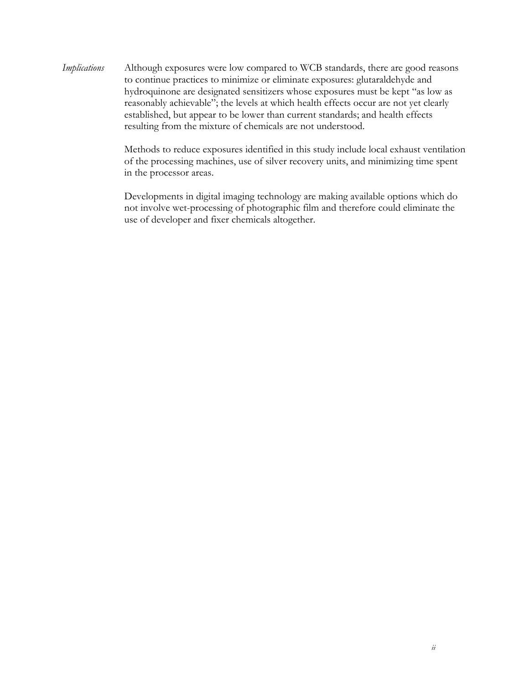*Implications* Although exposures were low compared to WCB standards, there are good reasons to continue practices to minimize or eliminate exposures: glutaraldehyde and hydroquinone are designated sensitizers whose exposures must be kept "as low as reasonably achievable"; the levels at which health effects occur are not yet clearly established, but appear to be lower than current standards; and health effects resulting from the mixture of chemicals are not understood.

> Methods to reduce exposures identified in this study include local exhaust ventilation of the processing machines, use of silver recovery units, and minimizing time spent in the processor areas.

Developments in digital imaging technology are making available options which do not involve wet-processing of photographic film and therefore could eliminate the use of developer and fixer chemicals altogether.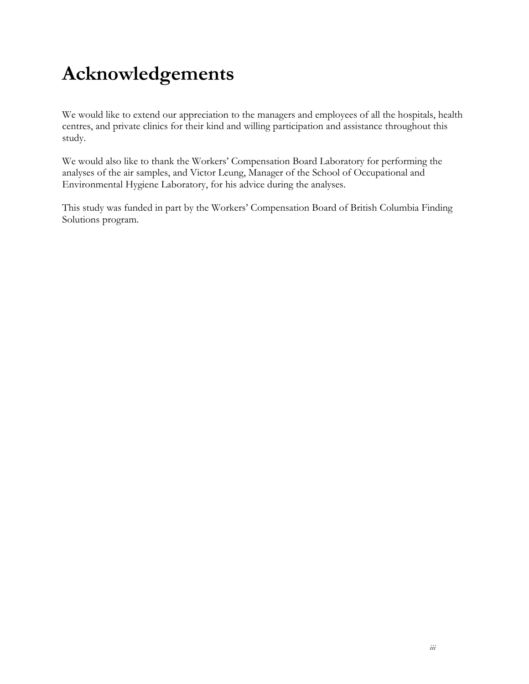# **Acknowledgements**

We would like to extend our appreciation to the managers and employees of all the hospitals, health centres, and private clinics for their kind and willing participation and assistance throughout this study.

We would also like to thank the Workers' Compensation Board Laboratory for performing the analyses of the air samples, and Victor Leung, Manager of the School of Occupational and Environmental Hygiene Laboratory, for his advice during the analyses.

This study was funded in part by the Workers' Compensation Board of British Columbia Finding Solutions program.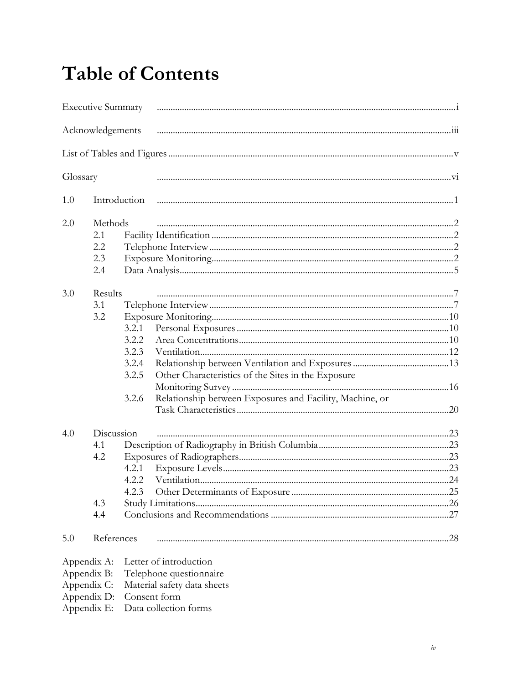## **Table of Contents**

|             | <b>Executive Summary</b> |                |                                                          |  |
|-------------|--------------------------|----------------|----------------------------------------------------------|--|
|             | Acknowledgements         |                |                                                          |  |
|             |                          |                |                                                          |  |
| Glossary    |                          |                |                                                          |  |
| 1.0         | Introduction             |                |                                                          |  |
| 2.0         | Methods                  |                |                                                          |  |
|             | 2.1                      |                |                                                          |  |
|             | 2.2                      |                |                                                          |  |
|             | 2.3                      |                |                                                          |  |
|             | 2.4                      |                |                                                          |  |
| 3.0         | Results                  |                |                                                          |  |
|             | 3.1                      |                |                                                          |  |
|             | 3.2                      |                |                                                          |  |
|             |                          | 3.2.1          |                                                          |  |
|             |                          | 3.2.2          |                                                          |  |
|             |                          | 3.2.3          |                                                          |  |
|             |                          | 3.2.4          |                                                          |  |
|             |                          | 3.2.5          | Other Characteristics of the Sites in the Exposure       |  |
|             |                          |                |                                                          |  |
|             |                          | 3.2.6          | Relationship between Exposures and Facility, Machine, or |  |
|             |                          |                |                                                          |  |
|             |                          |                |                                                          |  |
| 4.0         | Discussion               |                |                                                          |  |
|             | 4.1                      |                |                                                          |  |
|             | 4.2                      |                |                                                          |  |
|             |                          | 4.2.1<br>4.2.2 |                                                          |  |
|             |                          | 4.2.3          |                                                          |  |
|             | 4.3                      |                |                                                          |  |
|             | 4.4                      |                |                                                          |  |
|             |                          |                |                                                          |  |
| 5.0         | References               |                |                                                          |  |
| Appendix A: |                          |                | Letter of introduction                                   |  |
| Appendix B: |                          |                | Telephone questionnaire                                  |  |
| Appendix C: |                          |                | Material safety data sheets                              |  |
| Appendix D: |                          | Consent form   |                                                          |  |

Appendix E: Data collection forms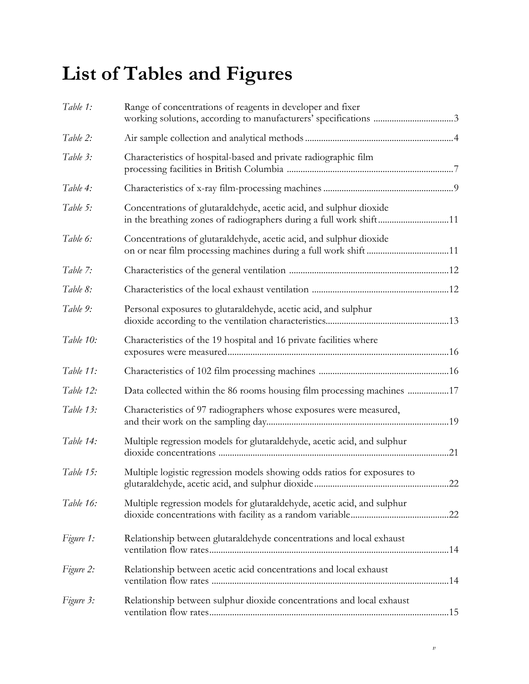# **List of Tables and Figures**

| Table 1:  | Range of concentrations of reagents in developer and fixer                                                                               |  |
|-----------|------------------------------------------------------------------------------------------------------------------------------------------|--|
| Table 2:  |                                                                                                                                          |  |
| Table 3:  | Characteristics of hospital-based and private radiographic film                                                                          |  |
| Table 4:  |                                                                                                                                          |  |
| Table 5:  | Concentrations of glutaraldehyde, acetic acid, and sulphur dioxide<br>in the breathing zones of radiographers during a full work shift11 |  |
| Table 6:  | Concentrations of glutaraldehyde, acetic acid, and sulphur dioxide                                                                       |  |
| Table 7:  |                                                                                                                                          |  |
| Table 8:  |                                                                                                                                          |  |
| Table 9:  | Personal exposures to glutaraldehyde, acetic acid, and sulphur                                                                           |  |
| Table 10: | Characteristics of the 19 hospital and 16 private facilities where                                                                       |  |
| Table 11: |                                                                                                                                          |  |
| Table 12: | Data collected within the 86 rooms housing film processing machines 17                                                                   |  |
| Table 13: | Characteristics of 97 radiographers whose exposures were measured,                                                                       |  |
| Table 14: | Multiple regression models for glutaraldehyde, acetic acid, and sulphur                                                                  |  |
| Table 15: | Multiple logistic regression models showing odds ratios for exposures to                                                                 |  |
| Table 16: | Multiple regression models for glutaraldehyde, acetic acid, and sulphur                                                                  |  |
| Figure 1: | Relationship between glutaraldehyde concentrations and local exhaust                                                                     |  |
| Figure 2: | Relationship between acetic acid concentrations and local exhaust                                                                        |  |
| Figure 3: | Relationship between sulphur dioxide concentrations and local exhaust                                                                    |  |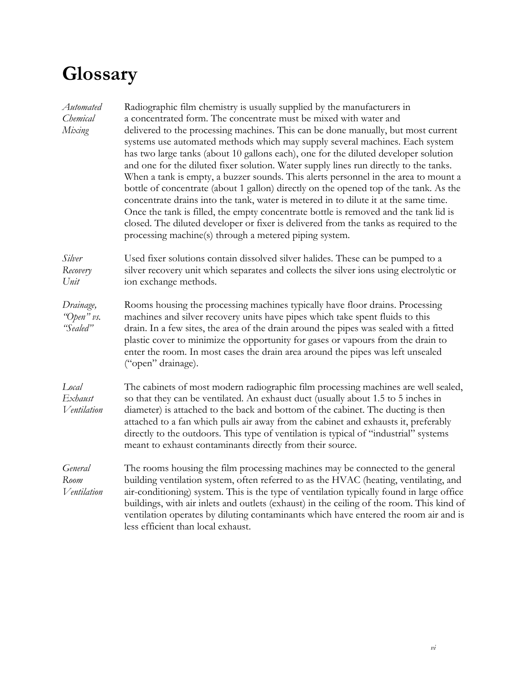# **Glossary**

| Automated<br>Chemical<br>Mixing     | Radiographic film chemistry is usually supplied by the manufacturers in<br>a concentrated form. The concentrate must be mixed with water and<br>delivered to the processing machines. This can be done manually, but most current<br>systems use automated methods which may supply several machines. Each system<br>has two large tanks (about 10 gallons each), one for the diluted developer solution<br>and one for the diluted fixer solution. Water supply lines run directly to the tanks.<br>When a tank is empty, a buzzer sounds. This alerts personnel in the area to mount a<br>bottle of concentrate (about 1 gallon) directly on the opened top of the tank. As the<br>concentrate drains into the tank, water is metered in to dilute it at the same time.<br>Once the tank is filled, the empty concentrate bottle is removed and the tank lid is<br>closed. The diluted developer or fixer is delivered from the tanks as required to the<br>processing machine(s) through a metered piping system. |
|-------------------------------------|----------------------------------------------------------------------------------------------------------------------------------------------------------------------------------------------------------------------------------------------------------------------------------------------------------------------------------------------------------------------------------------------------------------------------------------------------------------------------------------------------------------------------------------------------------------------------------------------------------------------------------------------------------------------------------------------------------------------------------------------------------------------------------------------------------------------------------------------------------------------------------------------------------------------------------------------------------------------------------------------------------------------|
| Silver<br>Recovery<br>Unit          | Used fixer solutions contain dissolved silver halides. These can be pumped to a<br>silver recovery unit which separates and collects the silver ions using electrolytic or<br>ion exchange methods.                                                                                                                                                                                                                                                                                                                                                                                                                                                                                                                                                                                                                                                                                                                                                                                                                  |
| Drainage,<br>"Open" vs.<br>"Sealed" | Rooms housing the processing machines typically have floor drains. Processing<br>machines and silver recovery units have pipes which take spent fluids to this<br>drain. In a few sites, the area of the drain around the pipes was sealed with a fitted<br>plastic cover to minimize the opportunity for gases or vapours from the drain to<br>enter the room. In most cases the drain area around the pipes was left unsealed<br>("open" drainage).                                                                                                                                                                                                                                                                                                                                                                                                                                                                                                                                                                |
| Local<br>Exhaust<br>Ventilation     | The cabinets of most modern radiographic film processing machines are well sealed,<br>so that they can be ventilated. An exhaust duct (usually about 1.5 to 5 inches in<br>diameter) is attached to the back and bottom of the cabinet. The ducting is then<br>attached to a fan which pulls air away from the cabinet and exhausts it, preferably<br>directly to the outdoors. This type of ventilation is typical of "industrial" systems<br>meant to exhaust contaminants directly from their source.                                                                                                                                                                                                                                                                                                                                                                                                                                                                                                             |
| General<br>Room<br>Ventilation      | The rooms housing the film processing machines may be connected to the general<br>building ventilation system, often referred to as the HVAC (heating, ventilating, and<br>air-conditioning) system. This is the type of ventilation typically found in large office<br>buildings, with air inlets and outlets (exhaust) in the ceiling of the room. This kind of<br>ventilation operates by diluting contaminants which have entered the room air and is<br>less efficient than local exhaust.                                                                                                                                                                                                                                                                                                                                                                                                                                                                                                                      |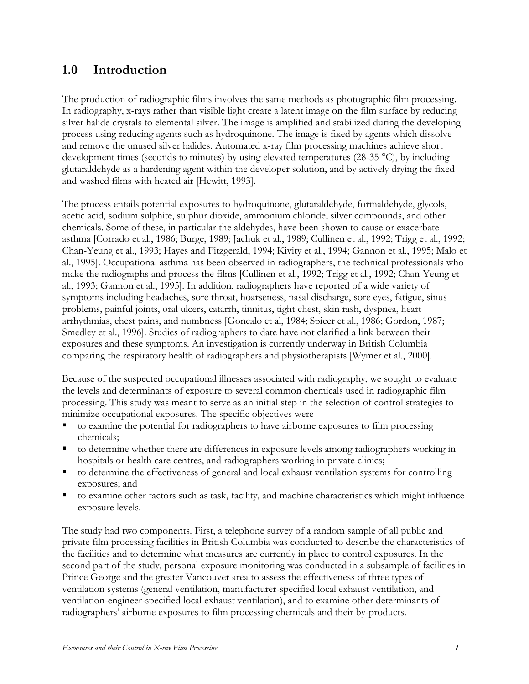## **1.0 Introduction**

The production of radiographic films involves the same methods as photographic film processing. In radiography, x-rays rather than visible light create a latent image on the film surface by reducing silver halide crystals to elemental silver. The image is amplified and stabilized during the developing process using reducing agents such as hydroquinone. The image is fixed by agents which dissolve and remove the unused silver halides. Automated x-ray film processing machines achieve short development times (seconds to minutes) by using elevated temperatures (28-35 °C), by including glutaraldehyde as a hardening agent within the developer solution, and by actively drying the fixed and washed films with heated air [Hewitt, 1993].

The process entails potential exposures to hydroquinone, glutaraldehyde, formaldehyde, glycols, acetic acid, sodium sulphite, sulphur dioxide, ammonium chloride, silver compounds, and other chemicals. Some of these, in particular the aldehydes, have been shown to cause or exacerbate asthma [Corrado et al., 1986; Burge, 1989; Jachuk et al., 1989; Cullinen et al., 1992; Trigg et al., 1992; Chan-Yeung et al., 1993; Hayes and Fitzgerald, 1994; Kivity et al., 1994; Gannon et al., 1995; Malo et al., 1995]. Occupational asthma has been observed in radiographers, the technical professionals who make the radiographs and process the films [Cullinen et al., 1992; Trigg et al., 1992; Chan-Yeung et al., 1993; Gannon et al., 1995]. In addition, radiographers have reported of a wide variety of symptoms including headaches, sore throat, hoarseness, nasal discharge, sore eyes, fatigue, sinus problems, painful joints, oral ulcers, catarrh, tinnitus, tight chest, skin rash, dyspnea, heart arrhythmias, chest pains, and numbness [Goncalo et al, 1984; Spicer et al., 1986; Gordon, 1987; Smedley et al., 1996]. Studies of radiographers to date have not clarified a link between their exposures and these symptoms. An investigation is currently underway in British Columbia comparing the respiratory health of radiographers and physiotherapists [Wymer et al., 2000].

Because of the suspected occupational illnesses associated with radiography, we sought to evaluate the levels and determinants of exposure to several common chemicals used in radiographic film processing. This study was meant to serve as an initial step in the selection of control strategies to minimize occupational exposures. The specific objectives were

- ß to examine the potential for radiographers to have airborne exposures to film processing chemicals;
- ß to determine whether there are differences in exposure levels among radiographers working in hospitals or health care centres, and radiographers working in private clinics;
- ß to determine the effectiveness of general and local exhaust ventilation systems for controlling exposures; and
- to examine other factors such as task, facility, and machine characteristics which might influence exposure levels.

The study had two components. First, a telephone survey of a random sample of all public and private film processing facilities in British Columbia was conducted to describe the characteristics of the facilities and to determine what measures are currently in place to control exposures. In the second part of the study, personal exposure monitoring was conducted in a subsample of facilities in Prince George and the greater Vancouver area to assess the effectiveness of three types of ventilation systems (general ventilation, manufacturer-specified local exhaust ventilation, and ventilation-engineer-specified local exhaust ventilation), and to examine other determinants of radiographers' airborne exposures to film processing chemicals and their by-products.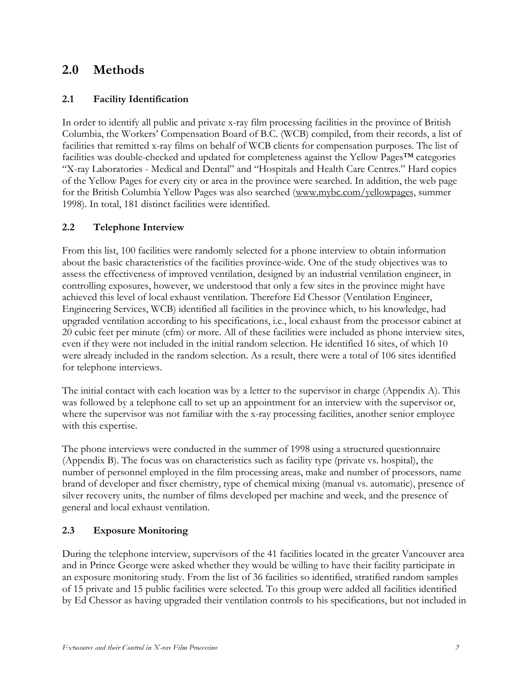## **2.0 Methods**

## **2.1 Facility Identification**

In order to identify all public and private x-ray film processing facilities in the province of British Columbia, the Workers' Compensation Board of B.C. (WCB) compiled, from their records, a list of facilities that remitted x-ray films on behalf of WCB clients for compensation purposes. The list of facilities was double-checked and updated for completeness against the Yellow Pages™ categories "X-ray Laboratories - Medical and Dental" and "Hospitals and Health Care Centres." Hard copies of the Yellow Pages for every city or area in the province were searched. In addition, the web page for the British Columbia Yellow Pages was also searched (www.mybc.com/yellowpages, summer 1998). In total, 181 distinct facilities were identified.

## **2.2 Telephone Interview**

From this list, 100 facilities were randomly selected for a phone interview to obtain information about the basic characteristics of the facilities province-wide. One of the study objectives was to assess the effectiveness of improved ventilation, designed by an industrial ventilation engineer, in controlling exposures, however, we understood that only a few sites in the province might have achieved this level of local exhaust ventilation. Therefore Ed Chessor (Ventilation Engineer, Engineering Services, WCB) identified all facilities in the province which, to his knowledge, had upgraded ventilation according to his specifications, i.e., local exhaust from the processor cabinet at 20 cubic feet per minute (cfm) or more. All of these facilities were included as phone interview sites, even if they were not included in the initial random selection. He identified 16 sites, of which 10 were already included in the random selection. As a result, there were a total of 106 sites identified for telephone interviews.

The initial contact with each location was by a letter to the supervisor in charge (Appendix A). This was followed by a telephone call to set up an appointment for an interview with the supervisor or, where the supervisor was not familiar with the x-ray processing facilities, another senior employee with this expertise.

The phone interviews were conducted in the summer of 1998 using a structured questionnaire (Appendix B). The focus was on characteristics such as facility type (private vs. hospital), the number of personnel employed in the film processing areas, make and number of processors, name brand of developer and fixer chemistry, type of chemical mixing (manual vs. automatic), presence of silver recovery units, the number of films developed per machine and week, and the presence of general and local exhaust ventilation.

## **2.3 Exposure Monitoring**

During the telephone interview, supervisors of the 41 facilities located in the greater Vancouver area and in Prince George were asked whether they would be willing to have their facility participate in an exposure monitoring study. From the list of 36 facilities so identified, stratified random samples of 15 private and 15 public facilities were selected. To this group were added all facilities identified by Ed Chessor as having upgraded their ventilation controls to his specifications, but not included in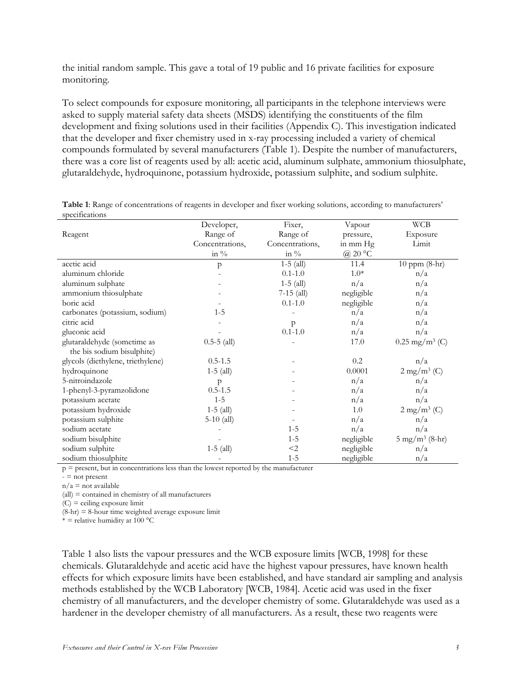the initial random sample. This gave a total of 19 public and 16 private facilities for exposure monitoring.

To select compounds for exposure monitoring, all participants in the telephone interviews were asked to supply material safety data sheets (MSDS) identifying the constituents of the film development and fixing solutions used in their facilities (Appendix C). This investigation indicated that the developer and fixer chemistry used in x-ray processing included a variety of chemical compounds formulated by several manufacturers (Table 1). Despite the number of manufacturers, there was a core list of reagents used by all: acetic acid, aluminum sulphate, ammonium thiosulphate, glutaraldehyde, hydroquinone, potassium hydroxide, potassium sulphite, and sodium sulphite.

|                                   | Developer,      | Fixer,          | Vapour     | <b>WCB</b>                   |
|-----------------------------------|-----------------|-----------------|------------|------------------------------|
| Reagent                           | Range of        | Range of        | pressure,  | Exposure                     |
|                                   | Concentrations, | Concentrations, | in mm Hg   | Limit                        |
|                                   | in $\%$         | in $\%$         | @ 20 °C    |                              |
| acetic acid                       | p               | $1-5$ (all)     | 11.4       | 10 ppm (8-hr)                |
| aluminum chloride                 |                 | $0.1 - 1.0$     | $1.0*$     | n/a                          |
| aluminum sulphate                 |                 | $1-5$ (all)     | n/a        | n/a                          |
| ammonium thiosulphate             |                 | $7-15$ (all)    | negligible | n/a                          |
| boric acid                        |                 | $0.1 - 1.0$     | negligible | n/a                          |
| carbonates (potassium, sodium)    | $1 - 5$         |                 | n/a        | n/a                          |
| citric acid                       |                 | $\mathsf{p}$    | n/a        | n/a                          |
| gluconic acid                     |                 | $0.1 - 1.0$     | n/a        | n/a                          |
| glutaraldehyde (sometime as       | $0.5 - 5$ (all) |                 | 17.0       | $0.25$ mg/m <sup>3</sup> (C) |
| the bis sodium bisulphite)        |                 |                 |            |                              |
| glycols (diethylene, triethylene) | $0.5 - 1.5$     |                 | 0.2        | n/a                          |
| hydroquinone                      | $1-5$ (all)     |                 | 0.0001     | $2$ mg/m $3$ (C)             |
| 5-nitroindazole                   | p               |                 | n/a        | n/a                          |
| 1-phenyl-3-pyramzolidone          | $0.5 - 1.5$     |                 | n/a        | n/a                          |
| potassium acetate                 | $1 - 5$         |                 | n/a        | n/a                          |
| potassium hydroxide               | $1-5$ (all)     |                 | 1.0        | $2$ mg/m <sup>3</sup> (C)    |
| potassium sulphite                | $5-10$ (all)    |                 | n/a        | n/a                          |
| sodium acetate                    |                 | $1 - 5$         | n/a        | n/a                          |
| sodium bisulphite                 |                 | $1 - 5$         | negligible | $5 \text{ mg/m}^3$ (8-hr)    |
| sodium sulphite                   | $1-5$ (all)     | $<$ 2           | negligible | n/a                          |
| sodium thiosulphite               |                 | $1 - 5$         | negligible | n/a                          |

**Table 1**: Range of concentrations of reagents in developer and fixer working solutions, according to manufacturers' specifications

 $p =$  present, but in concentrations less than the lowest reported by the manufacturer

 $=$  not present

 $n/a$  = not available

(all) = contained in chemistry of all manufacturers

 $(C)$  = ceiling exposure limit

 $(8-hr) = 8-hour$  time weighted average exposure limit

\* = relative humidity at  $100^{\circ}$ C

Table 1 also lists the vapour pressures and the WCB exposure limits [WCB, 1998] for these chemicals. Glutaraldehyde and acetic acid have the highest vapour pressures, have known health effects for which exposure limits have been established, and have standard air sampling and analysis methods established by the WCB Laboratory [WCB, 1984]. Acetic acid was used in the fixer chemistry of all manufacturers, and the developer chemistry of some. Glutaraldehyde was used as a hardener in the developer chemistry of all manufacturers. As a result, these two reagents were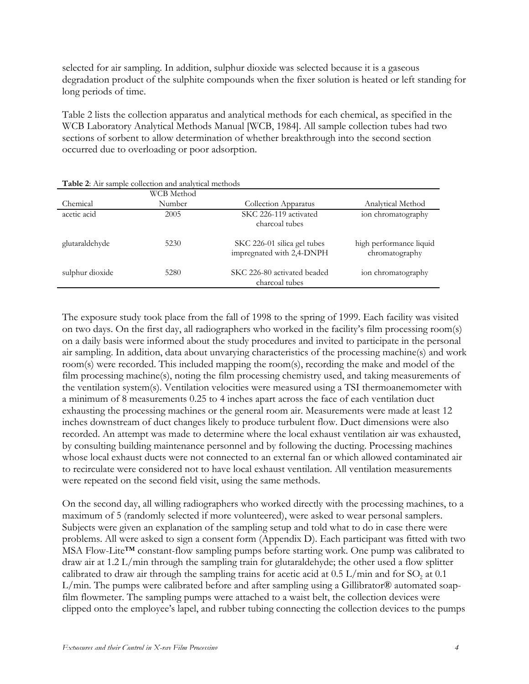selected for air sampling. In addition, sulphur dioxide was selected because it is a gaseous degradation product of the sulphite compounds when the fixer solution is heated or left standing for long periods of time.

Table 2 lists the collection apparatus and analytical methods for each chemical, as specified in the WCB Laboratory Analytical Methods Manual [WCB, 1984]. All sample collection tubes had two sections of sorbent to allow determination of whether breakthrough into the second section occurred due to overloading or poor adsorption.

|                 | WCB Method |                                                          |                                           |
|-----------------|------------|----------------------------------------------------------|-------------------------------------------|
| Chemical        | Number     | Collection Apparatus                                     | Analytical Method                         |
| acetic acid     | 2005       | SKC 226-119 activated<br>charcoal tubes                  | ion chromatography                        |
| glutaraldehyde  | 5230       | SKC 226-01 silica gel tubes<br>impregnated with 2,4-DNPH | high performance liquid<br>chromatography |
| sulphur dioxide | 5280       | SKC 226-80 activated beaded<br>charcoal tubes            | ion chromatography                        |

The exposure study took place from the fall of 1998 to the spring of 1999. Each facility was visited on two days. On the first day, all radiographers who worked in the facility's film processing room(s) on a daily basis were informed about the study procedures and invited to participate in the personal air sampling. In addition, data about unvarying characteristics of the processing machine(s) and work room(s) were recorded. This included mapping the room(s), recording the make and model of the film processing machine(s), noting the film processing chemistry used, and taking measurements of the ventilation system(s). Ventilation velocities were measured using a TSI thermoanemometer with a minimum of 8 measurements 0.25 to 4 inches apart across the face of each ventilation duct exhausting the processing machines or the general room air. Measurements were made at least 12 inches downstream of duct changes likely to produce turbulent flow. Duct dimensions were also recorded. An attempt was made to determine where the local exhaust ventilation air was exhausted, by consulting building maintenance personnel and by following the ducting. Processing machines whose local exhaust ducts were not connected to an external fan or which allowed contaminated air to recirculate were considered not to have local exhaust ventilation. All ventilation measurements were repeated on the second field visit, using the same methods.

On the second day, all willing radiographers who worked directly with the processing machines, to a maximum of 5 (randomly selected if more volunteered), were asked to wear personal samplers. Subjects were given an explanation of the sampling setup and told what to do in case there were problems. All were asked to sign a consent form (Appendix D). Each participant was fitted with two MSA Flow-Lite™ constant-flow sampling pumps before starting work. One pump was calibrated to draw air at 1.2 L/min through the sampling train for glutaraldehyde; the other used a flow splitter calibrated to draw air through the sampling trains for acetic acid at  $0.5$  L/min and for SO<sub>2</sub> at  $0.1$ L/min. The pumps were calibrated before and after sampling using a Gillibrator® automated soapfilm flowmeter. The sampling pumps were attached to a waist belt, the collection devices were clipped onto the employee's lapel, and rubber tubing connecting the collection devices to the pumps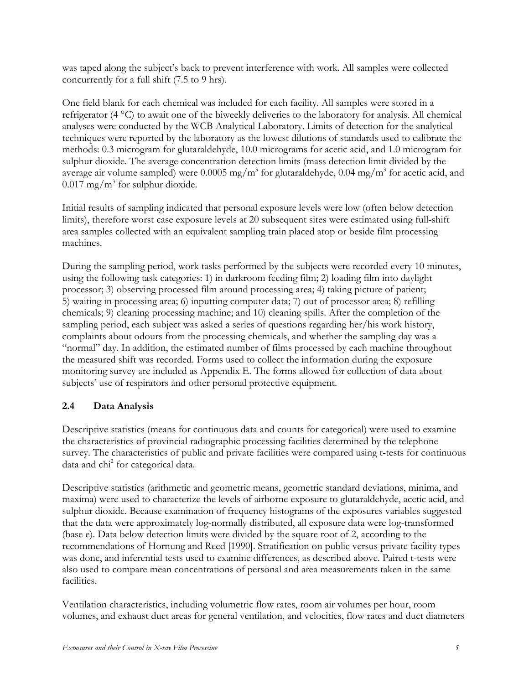was taped along the subject's back to prevent interference with work. All samples were collected concurrently for a full shift (7.5 to 9 hrs).

One field blank for each chemical was included for each facility. All samples were stored in a refrigerator (4 °C) to await one of the biweekly deliveries to the laboratory for analysis. All chemical analyses were conducted by the WCB Analytical Laboratory. Limits of detection for the analytical techniques were reported by the laboratory as the lowest dilutions of standards used to calibrate the methods: 0.3 microgram for glutaraldehyde, 10.0 micrograms for acetic acid, and 1.0 microgram for sulphur dioxide. The average concentration detection limits (mass detection limit divided by the average air volume sampled) were  $0.0005$  mg/m<sup>3</sup> for glutaraldehyde,  $0.04$  mg/m<sup>3</sup> for acetic acid, and  $0.017$  mg/m<sup>3</sup> for sulphur dioxide.

Initial results of sampling indicated that personal exposure levels were low (often below detection limits), therefore worst case exposure levels at 20 subsequent sites were estimated using full-shift area samples collected with an equivalent sampling train placed atop or beside film processing machines.

During the sampling period, work tasks performed by the subjects were recorded every 10 minutes, using the following task categories: 1) in darkroom feeding film; 2) loading film into daylight processor; 3) observing processed film around processing area; 4) taking picture of patient; 5) waiting in processing area; 6) inputting computer data; 7) out of processor area; 8) refilling chemicals; 9) cleaning processing machine; and 10) cleaning spills. After the completion of the sampling period, each subject was asked a series of questions regarding her/his work history, complaints about odours from the processing chemicals, and whether the sampling day was a "normal" day. In addition, the estimated number of films processed by each machine throughout the measured shift was recorded. Forms used to collect the information during the exposure monitoring survey are included as Appendix E. The forms allowed for collection of data about subjects' use of respirators and other personal protective equipment.

## **2.4 Data Analysis**

Descriptive statistics (means for continuous data and counts for categorical) were used to examine the characteristics of provincial radiographic processing facilities determined by the telephone survey. The characteristics of public and private facilities were compared using t-tests for continuous data and chi<sup>2</sup> for categorical data.

Descriptive statistics (arithmetic and geometric means, geometric standard deviations, minima, and maxima) were used to characterize the levels of airborne exposure to glutaraldehyde, acetic acid, and sulphur dioxide. Because examination of frequency histograms of the exposures variables suggested that the data were approximately log-normally distributed, all exposure data were log-transformed (base e). Data below detection limits were divided by the square root of 2, according to the recommendations of Hornung and Reed [1990]. Stratification on public versus private facility types was done, and inferential tests used to examine differences, as described above. Paired t-tests were also used to compare mean concentrations of personal and area measurements taken in the same facilities.

Ventilation characteristics, including volumetric flow rates, room air volumes per hour, room volumes, and exhaust duct areas for general ventilation, and velocities, flow rates and duct diameters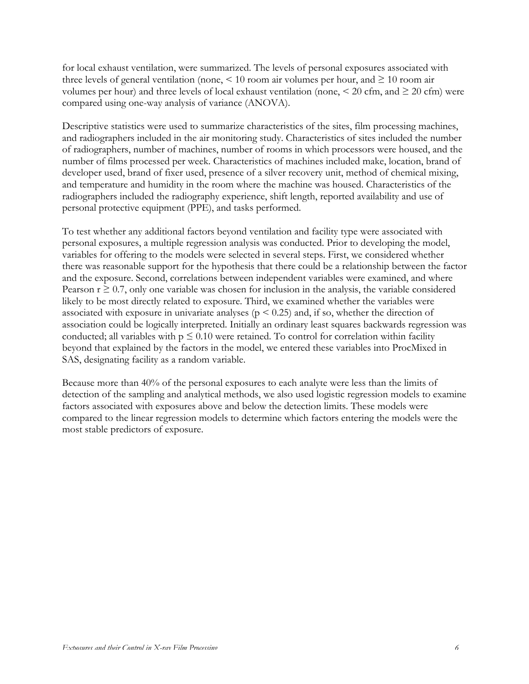for local exhaust ventilation, were summarized. The levels of personal exposures associated with three levels of general ventilation (none,  $\leq 10$  room air volumes per hour, and  $\geq 10$  room air volumes per hour) and three levels of local exhaust ventilation (none,  $\leq$  20 cfm, and  $\geq$  20 cfm) were compared using one-way analysis of variance (ANOVA).

Descriptive statistics were used to summarize characteristics of the sites, film processing machines, and radiographers included in the air monitoring study. Characteristics of sites included the number of radiographers, number of machines, number of rooms in which processors were housed, and the number of films processed per week. Characteristics of machines included make, location, brand of developer used, brand of fixer used, presence of a silver recovery unit, method of chemical mixing, and temperature and humidity in the room where the machine was housed. Characteristics of the radiographers included the radiography experience, shift length, reported availability and use of personal protective equipment (PPE), and tasks performed.

To test whether any additional factors beyond ventilation and facility type were associated with personal exposures, a multiple regression analysis was conducted. Prior to developing the model, variables for offering to the models were selected in several steps. First, we considered whether there was reasonable support for the hypothesis that there could be a relationship between the factor and the exposure. Second, correlations between independent variables were examined, and where Pearson  $r \geq 0.7$ , only one variable was chosen for inclusion in the analysis, the variable considered likely to be most directly related to exposure. Third, we examined whether the variables were associated with exposure in univariate analyses ( $p < 0.25$ ) and, if so, whether the direction of association could be logically interpreted. Initially an ordinary least squares backwards regression was conducted; all variables with  $p \leq 0.10$  were retained. To control for correlation within facility beyond that explained by the factors in the model, we entered these variables into ProcMixed in SAS, designating facility as a random variable.

Because more than 40% of the personal exposures to each analyte were less than the limits of detection of the sampling and analytical methods, we also used logistic regression models to examine factors associated with exposures above and below the detection limits. These models were compared to the linear regression models to determine which factors entering the models were the most stable predictors of exposure.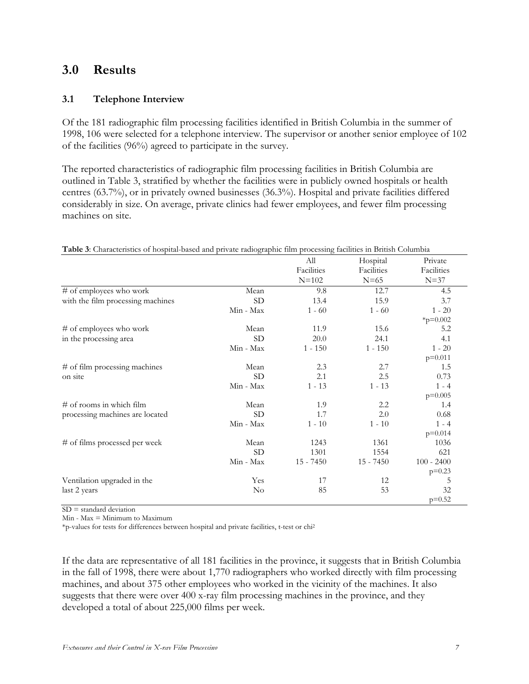## **3.0 Results**

#### **3.1 Telephone Interview**

Of the 181 radiographic film processing facilities identified in British Columbia in the summer of 1998, 106 were selected for a telephone interview. The supervisor or another senior employee of 102 of the facilities (96%) agreed to participate in the survey.

The reported characteristics of radiographic film processing facilities in British Columbia are outlined in Table 3, stratified by whether the facilities were in publicly owned hospitals or health centres (63.7%), or in privately owned businesses (36.3%). Hospital and private facilities differed considerably in size. On average, private clinics had fewer employees, and fewer film processing machines on site.

|                                   |                | All         | Hospital    | Private      |
|-----------------------------------|----------------|-------------|-------------|--------------|
|                                   |                | Facilities  | Facilities  | Facilities   |
|                                   |                | $N = 102$   | $N=65$      | $N=37$       |
| # of employees who work           | Mean           | 9.8         | 12.7        | 4.5          |
| with the film processing machines | <b>SD</b>      | 13.4        | 15.9        | 3.7          |
|                                   | Min - Max      | $1 - 60$    | $1 - 60$    | $1 - 20$     |
|                                   |                |             |             | * $p=0.002$  |
| # of employees who work           | Mean           | 11.9        | 15.6        | 5.2          |
| in the processing area            | <b>SD</b>      | 20.0        | 24.1        | 4.1          |
|                                   | Min - Max      | $1 - 150$   | $1 - 150$   | $1 - 20$     |
|                                   |                |             |             | $p=0.011$    |
| # of film processing machines     | Mean           | 2.3         | 2.7         | 1.5          |
| on site                           | <b>SD</b>      | 2.1         | 2.5         | 0.73         |
|                                   | Min - Max      | $1 - 13$    | $1 - 13$    | $1 - 4$      |
|                                   |                |             |             | $p=0.005$    |
| $#$ of rooms in which film        | Mean           | 1.9         | 2.2         | 1.4          |
| processing machines are located   | <b>SD</b>      | 1.7         | 2.0         | 0.68         |
|                                   | Min - Max      | $1 - 10$    | $1 - 10$    | $1 - 4$      |
|                                   |                |             |             | $p=0.014$    |
| # of films processed per week     | Mean           | 1243        | 1361        | 1036         |
|                                   | SD <sub></sub> | 1301        | 1554        | 621          |
|                                   | Min - Max      | $15 - 7450$ | $15 - 7450$ | $100 - 2400$ |
|                                   |                |             |             | $p=0.23$     |
| Ventilation upgraded in the       | Yes            | 17          | 12          | 5            |
| last 2 years                      | N <sub>o</sub> | 85          | 53          | 32           |
|                                   |                |             |             | $p=0.52$     |

**Table 3**: Characteristics of hospital-based and private radiographic film processing facilities in British Columbia

 $SD = standard deviation$ 

Min - Max = Minimum to Maximum

\*p-values for tests for differences between hospital and private facilities, t-test or chi2

If the data are representative of all 181 facilities in the province, it suggests that in British Columbia in the fall of 1998, there were about 1,770 radiographers who worked directly with film processing machines, and about 375 other employees who worked in the vicinity of the machines. It also suggests that there were over 400 x-ray film processing machines in the province, and they developed a total of about 225,000 films per week.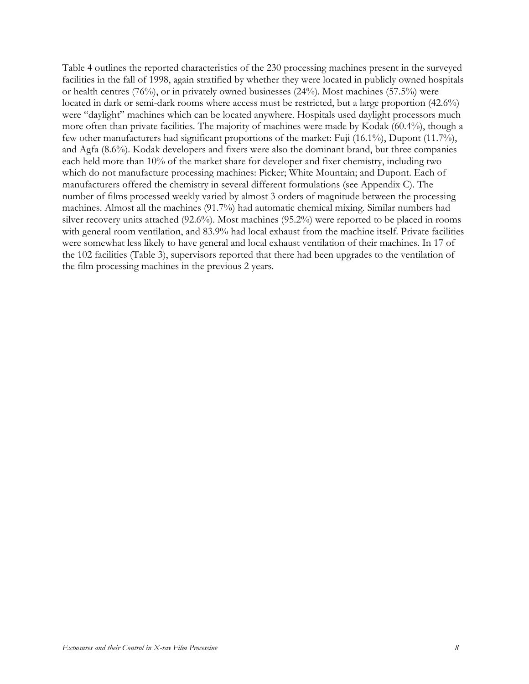Table 4 outlines the reported characteristics of the 230 processing machines present in the surveyed facilities in the fall of 1998, again stratified by whether they were located in publicly owned hospitals or health centres (76%), or in privately owned businesses (24%). Most machines (57.5%) were located in dark or semi-dark rooms where access must be restricted, but a large proportion (42.6%) were "daylight" machines which can be located anywhere. Hospitals used daylight processors much more often than private facilities. The majority of machines were made by Kodak (60.4%), though a few other manufacturers had significant proportions of the market: Fuji (16.1%), Dupont (11.7%), and Agfa (8.6%). Kodak developers and fixers were also the dominant brand, but three companies each held more than 10% of the market share for developer and fixer chemistry, including two which do not manufacture processing machines: Picker; White Mountain; and Dupont. Each of manufacturers offered the chemistry in several different formulations (see Appendix C). The number of films processed weekly varied by almost 3 orders of magnitude between the processing machines. Almost all the machines (91.7%) had automatic chemical mixing. Similar numbers had silver recovery units attached (92.6%). Most machines (95.2%) were reported to be placed in rooms with general room ventilation, and 83.9% had local exhaust from the machine itself. Private facilities were somewhat less likely to have general and local exhaust ventilation of their machines. In 17 of the 102 facilities (Table 3), supervisors reported that there had been upgrades to the ventilation of the film processing machines in the previous 2 years.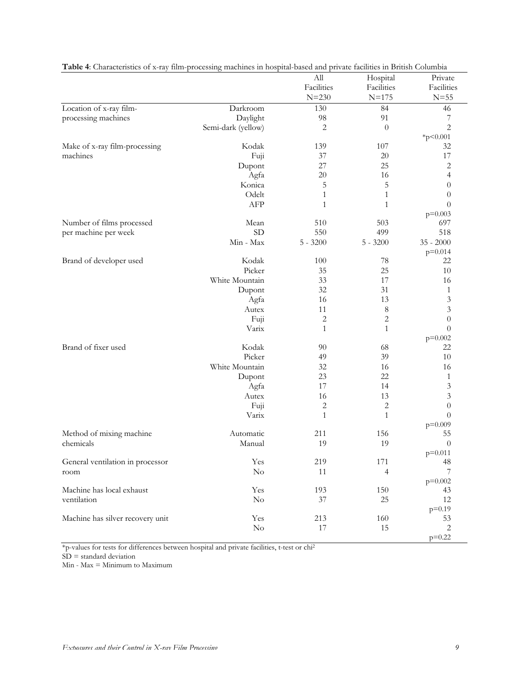| Facilities<br>Facilities<br>Facilities<br>$N = 230$<br>$N = 175$<br>$N = 55$<br>Location of x-ray film-<br>Darkroom<br>130<br>84<br>46<br>processing machines<br>Daylight<br>98<br>91<br>7<br>$\overline{c}$<br>$\overline{c}$<br>Semi-dark (yellow)<br>$\theta$<br>* $p$ < 0.001<br>Kodak<br>Make of x-ray film-processing<br>139<br>107<br>32<br>37<br>20<br>17<br>machines<br>Fuji<br>$\sqrt{2}$<br>27<br>25<br>Dupont<br>16<br>$\overline{\mathcal{A}}$<br>Agfa<br>20<br>5<br>Konica<br>5<br>$\theta$<br>Odelt<br>$\mathbf{1}$<br>$\mathbf{1}$<br>$\theta$<br>AFP<br>$\mathbf{1}$<br>$\mathbf{1}$<br>$\theta$<br>$p=0.003$<br>Number of films processed<br>Mean<br>510<br>503<br>697<br>SD<br>499<br>550<br>518<br>per machine per week<br>Min - Max<br>$5 - 3200$<br>$35 - 2000$<br>$5 - 3200$<br>$p=0.014$<br>Kodak<br>Brand of developer used<br>100<br>78<br>22 |
|-------------------------------------------------------------------------------------------------------------------------------------------------------------------------------------------------------------------------------------------------------------------------------------------------------------------------------------------------------------------------------------------------------------------------------------------------------------------------------------------------------------------------------------------------------------------------------------------------------------------------------------------------------------------------------------------------------------------------------------------------------------------------------------------------------------------------------------------------------------------------|
|                                                                                                                                                                                                                                                                                                                                                                                                                                                                                                                                                                                                                                                                                                                                                                                                                                                                         |
|                                                                                                                                                                                                                                                                                                                                                                                                                                                                                                                                                                                                                                                                                                                                                                                                                                                                         |
|                                                                                                                                                                                                                                                                                                                                                                                                                                                                                                                                                                                                                                                                                                                                                                                                                                                                         |
|                                                                                                                                                                                                                                                                                                                                                                                                                                                                                                                                                                                                                                                                                                                                                                                                                                                                         |
|                                                                                                                                                                                                                                                                                                                                                                                                                                                                                                                                                                                                                                                                                                                                                                                                                                                                         |
|                                                                                                                                                                                                                                                                                                                                                                                                                                                                                                                                                                                                                                                                                                                                                                                                                                                                         |
|                                                                                                                                                                                                                                                                                                                                                                                                                                                                                                                                                                                                                                                                                                                                                                                                                                                                         |
|                                                                                                                                                                                                                                                                                                                                                                                                                                                                                                                                                                                                                                                                                                                                                                                                                                                                         |
|                                                                                                                                                                                                                                                                                                                                                                                                                                                                                                                                                                                                                                                                                                                                                                                                                                                                         |
|                                                                                                                                                                                                                                                                                                                                                                                                                                                                                                                                                                                                                                                                                                                                                                                                                                                                         |
|                                                                                                                                                                                                                                                                                                                                                                                                                                                                                                                                                                                                                                                                                                                                                                                                                                                                         |
|                                                                                                                                                                                                                                                                                                                                                                                                                                                                                                                                                                                                                                                                                                                                                                                                                                                                         |
|                                                                                                                                                                                                                                                                                                                                                                                                                                                                                                                                                                                                                                                                                                                                                                                                                                                                         |
|                                                                                                                                                                                                                                                                                                                                                                                                                                                                                                                                                                                                                                                                                                                                                                                                                                                                         |
|                                                                                                                                                                                                                                                                                                                                                                                                                                                                                                                                                                                                                                                                                                                                                                                                                                                                         |
|                                                                                                                                                                                                                                                                                                                                                                                                                                                                                                                                                                                                                                                                                                                                                                                                                                                                         |
|                                                                                                                                                                                                                                                                                                                                                                                                                                                                                                                                                                                                                                                                                                                                                                                                                                                                         |
|                                                                                                                                                                                                                                                                                                                                                                                                                                                                                                                                                                                                                                                                                                                                                                                                                                                                         |
|                                                                                                                                                                                                                                                                                                                                                                                                                                                                                                                                                                                                                                                                                                                                                                                                                                                                         |
| Picker<br>35<br>25<br>10                                                                                                                                                                                                                                                                                                                                                                                                                                                                                                                                                                                                                                                                                                                                                                                                                                                |
| White Mountain<br>33<br>17<br>16                                                                                                                                                                                                                                                                                                                                                                                                                                                                                                                                                                                                                                                                                                                                                                                                                                        |
| 32<br>31<br>Dupont<br>$\mathbf{1}$                                                                                                                                                                                                                                                                                                                                                                                                                                                                                                                                                                                                                                                                                                                                                                                                                                      |
| $\mathfrak{Z}$<br>Agfa<br>16<br>13                                                                                                                                                                                                                                                                                                                                                                                                                                                                                                                                                                                                                                                                                                                                                                                                                                      |
| 3<br>$\,8\,$<br>11<br>Autex                                                                                                                                                                                                                                                                                                                                                                                                                                                                                                                                                                                                                                                                                                                                                                                                                                             |
| $\overline{c}$<br>$\overline{c}$<br>$\overline{0}$<br>Fuji                                                                                                                                                                                                                                                                                                                                                                                                                                                                                                                                                                                                                                                                                                                                                                                                              |
| Varix<br>$\theta$<br>$\mathbf{1}$<br>$\mathbf{1}$                                                                                                                                                                                                                                                                                                                                                                                                                                                                                                                                                                                                                                                                                                                                                                                                                       |
| $p=0.002$                                                                                                                                                                                                                                                                                                                                                                                                                                                                                                                                                                                                                                                                                                                                                                                                                                                               |
| Brand of fixer used<br>Kodak<br>90<br>68<br>22                                                                                                                                                                                                                                                                                                                                                                                                                                                                                                                                                                                                                                                                                                                                                                                                                          |
| Picker<br>39<br>10<br>49                                                                                                                                                                                                                                                                                                                                                                                                                                                                                                                                                                                                                                                                                                                                                                                                                                                |
| White Mountain<br>32<br>16<br>16                                                                                                                                                                                                                                                                                                                                                                                                                                                                                                                                                                                                                                                                                                                                                                                                                                        |
| 22<br>23<br>$\mathbf{1}$<br>Dupont                                                                                                                                                                                                                                                                                                                                                                                                                                                                                                                                                                                                                                                                                                                                                                                                                                      |
| $\mathfrak{Z}$<br>Agfa<br>17<br>14                                                                                                                                                                                                                                                                                                                                                                                                                                                                                                                                                                                                                                                                                                                                                                                                                                      |
| 13<br>3<br>Autex<br>16                                                                                                                                                                                                                                                                                                                                                                                                                                                                                                                                                                                                                                                                                                                                                                                                                                                  |
| $\theta$<br>2<br>2<br>Fuji                                                                                                                                                                                                                                                                                                                                                                                                                                                                                                                                                                                                                                                                                                                                                                                                                                              |
| $\mathbf{1}$<br>$\mathbf{1}$<br>$\overline{0}$<br>Varix                                                                                                                                                                                                                                                                                                                                                                                                                                                                                                                                                                                                                                                                                                                                                                                                                 |
| $p=0.009$                                                                                                                                                                                                                                                                                                                                                                                                                                                                                                                                                                                                                                                                                                                                                                                                                                                               |
| Method of mixing machine<br>156<br>Automatic<br>211<br>55                                                                                                                                                                                                                                                                                                                                                                                                                                                                                                                                                                                                                                                                                                                                                                                                               |
| 19<br>19<br>chemicals<br>Manual<br>$\theta$                                                                                                                                                                                                                                                                                                                                                                                                                                                                                                                                                                                                                                                                                                                                                                                                                             |
| $p=0.011$<br>General ventilation in processor<br>Yes<br>219                                                                                                                                                                                                                                                                                                                                                                                                                                                                                                                                                                                                                                                                                                                                                                                                             |
| $171\,$<br>48<br>$\overline{7}$<br>No<br>11                                                                                                                                                                                                                                                                                                                                                                                                                                                                                                                                                                                                                                                                                                                                                                                                                             |
| 4<br>room<br>$p=0.002$                                                                                                                                                                                                                                                                                                                                                                                                                                                                                                                                                                                                                                                                                                                                                                                                                                                  |
| Machine has local exhaust<br>Yes<br>193<br>150<br>43                                                                                                                                                                                                                                                                                                                                                                                                                                                                                                                                                                                                                                                                                                                                                                                                                    |
| $25\,$<br>ventilation<br>$\rm No$<br>$37\,$<br>12                                                                                                                                                                                                                                                                                                                                                                                                                                                                                                                                                                                                                                                                                                                                                                                                                       |
| $p=0.19$                                                                                                                                                                                                                                                                                                                                                                                                                                                                                                                                                                                                                                                                                                                                                                                                                                                                |
| Machine has silver recovery unit<br>Yes<br>160<br>213<br>53                                                                                                                                                                                                                                                                                                                                                                                                                                                                                                                                                                                                                                                                                                                                                                                                             |
| $\sqrt{2}$<br>$\rm No$<br>$17\,$<br>15                                                                                                                                                                                                                                                                                                                                                                                                                                                                                                                                                                                                                                                                                                                                                                                                                                  |
| $p=0.22$                                                                                                                                                                                                                                                                                                                                                                                                                                                                                                                                                                                                                                                                                                                                                                                                                                                                |

**Table 4**: Characteristics of x-ray film-processing machines in hospital-based and private facilities in British Columbia

\*p-values for tests for differences between hospital and private facilities, t-test or chi2

SD = standard deviation

Min - Max = Minimum to Maximum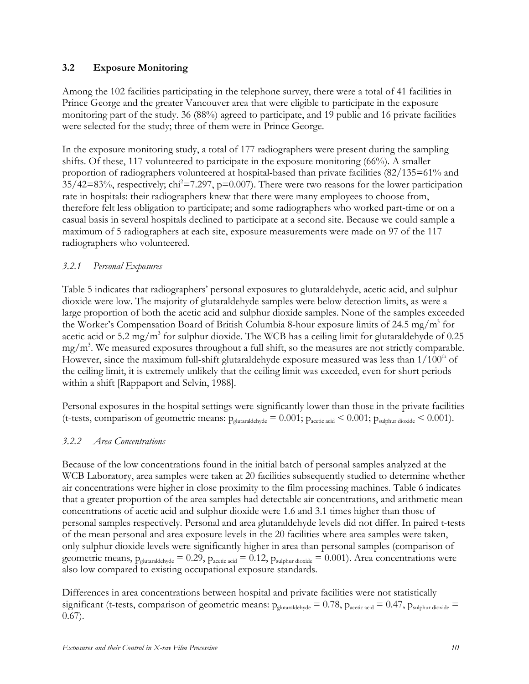### **3.2 Exposure Monitoring**

Among the 102 facilities participating in the telephone survey, there were a total of 41 facilities in Prince George and the greater Vancouver area that were eligible to participate in the exposure monitoring part of the study. 36 (88%) agreed to participate, and 19 public and 16 private facilities were selected for the study; three of them were in Prince George.

In the exposure monitoring study, a total of 177 radiographers were present during the sampling shifts. Of these, 117 volunteered to participate in the exposure monitoring (66%). A smaller proportion of radiographers volunteered at hospital-based than private facilities (82/135=61% and  $35/42=83\%$ , respectively; chi<sup>2</sup>=7.297, p=0.007). There were two reasons for the lower participation rate in hospitals: their radiographers knew that there were many employees to choose from, therefore felt less obligation to participate; and some radiographers who worked part-time or on a casual basis in several hospitals declined to participate at a second site. Because we could sample a maximum of 5 radiographers at each site, exposure measurements were made on 97 of the 117 radiographers who volunteered.

## *3.2.1 Personal Exposures*

Table 5 indicates that radiographers' personal exposures to glutaraldehyde, acetic acid, and sulphur dioxide were low. The majority of glutaraldehyde samples were below detection limits, as were a large proportion of both the acetic acid and sulphur dioxide samples. None of the samples exceeded the Worker's Compensation Board of British Columbia 8-hour exposure limits of 24.5 mg/m<sup>3</sup> for acetic acid or 5.2 mg/m<sup>3</sup> for sulphur dioxide. The WCB has a ceiling limit for glutaraldehyde of 0.25 mg/m<sup>3</sup>. We measured exposures throughout a full shift, so the measures are not strictly comparable. However, since the maximum full-shift glutaraldehyde exposure measured was less than  $1/100<sup>th</sup>$  of the ceiling limit, it is extremely unlikely that the ceiling limit was exceeded, even for short periods within a shift [Rappaport and Selvin, 1988].

Personal exposures in the hospital settings were significantly lower than those in the private facilities (t-tests, comparison of geometric means:  $p_{\text{glutaraldehyde}} = 0.001$ ;  $p_{\text{acetic acid}} < 0.001$ ;  $p_{\text{subhur dioxide}} < 0.001$ ).

## *3.2.2 Area Concentrations*

Because of the low concentrations found in the initial batch of personal samples analyzed at the WCB Laboratory, area samples were taken at 20 facilities subsequently studied to determine whether air concentrations were higher in close proximity to the film processing machines. Table 6 indicates that a greater proportion of the area samples had detectable air concentrations, and arithmetic mean concentrations of acetic acid and sulphur dioxide were 1.6 and 3.1 times higher than those of personal samples respectively. Personal and area glutaraldehyde levels did not differ. In paired t-tests of the mean personal and area exposure levels in the 20 facilities where area samples were taken, only sulphur dioxide levels were significantly higher in area than personal samples (comparison of geometric means,  $p_{glutaraldehyde} = 0.29$ ,  $p_{acetic acid} = 0.12$ ,  $p_{subbur dioxide} = 0.001$ ). Area concentrations were also low compared to existing occupational exposure standards.

Differences in area concentrations between hospital and private facilities were not statistically significant (t-tests, comparison of geometric means:  $p_{glutaraldehyde} = 0.78$ ,  $p_{acetic acid} = 0.47$ ,  $p_{subbur dioxide} =$ 0.67).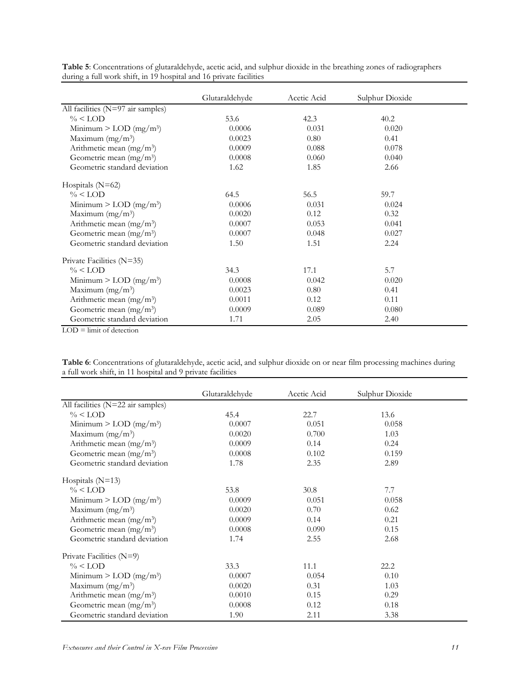|                                      | Glutaraldehyde | Acetic Acid | Sulphur Dioxide |  |
|--------------------------------------|----------------|-------------|-----------------|--|
| All facilities (N=97 air samples)    |                |             |                 |  |
| $\% <$ LOD                           | 53.6           | 42.3        | 40.2            |  |
| Minimum $>$ LOD (mg/m <sup>3</sup> ) | 0.0006         | 0.031       | 0.020           |  |
| Maximum $(mg/m^3)$                   | 0.0023         | 0.80        | 0.41            |  |
| Arithmetic mean (mg/m <sup>3</sup> ) | 0.0009         | 0.088       | 0.078           |  |
| Geometric mean $(mg/m3)$             | 0.0008         | 0.060       | 0.040           |  |
| Geometric standard deviation         | 1.62           | 1.85        | 2.66            |  |
| Hospitals $(N=62)$                   |                |             |                 |  |
| $\% <$ LOD                           | 64.5           | 56.5        | 59.7            |  |
| Minimum $>$ LOD (mg/m <sup>3</sup> ) | 0.0006         | 0.031       | 0.024           |  |
| Maximum $(mg/m3)$                    | 0.0020         | 0.12        | 0.32            |  |
| Arithmetic mean (mg/m <sup>3</sup> ) | 0.0007         | 0.053       | 0.041           |  |
| Geometric mean $(mg/m3)$             | 0.0007         | 0.048       | 0.027           |  |
| Geometric standard deviation         | 1.50           | 1.51        | 2.24            |  |
| Private Facilities (N=35)            |                |             |                 |  |
| $\% <$ LOD                           | 34.3           | 17.1        | 5.7             |  |
| Minimum $>$ LOD (mg/m <sup>3</sup> ) | 0.0008         | 0.042       | 0.020           |  |
| Maximum $(mg/m^3)$                   | 0.0023         | 0.80        | 0.41            |  |
| Arithmetic mean $(mg/m3)$            | 0.0011         | 0.12        | 0.11            |  |
| Geometric mean $(mg/m3)$             | 0.0009         | 0.089       | 0.080           |  |
| Geometric standard deviation         | 1.71           | 2.05        | 2.40            |  |

**Table 5**: Concentrations of glutaraldehyde, acetic acid, and sulphur dioxide in the breathing zones of radiographers during a full work shift, in 19 hospital and 16 private facilities

 $LOD =$  limit of detection

**Table 6**: Concentrations of glutaraldehyde, acetic acid, and sulphur dioxide on or near film processing machines during a full work shift, in 11 hospital and 9 private facilities

|                                      |                | Acetic Acid |                 |  |
|--------------------------------------|----------------|-------------|-----------------|--|
|                                      | Glutaraldehyde |             | Sulphur Dioxide |  |
| All facilities (N=22 air samples)    |                |             |                 |  |
| $\% <$ LOD                           | 45.4           | 22.7        | 13.6            |  |
| Minimum $>$ LOD (mg/m <sup>3</sup> ) | 0.0007         | 0.051       | 0.058           |  |
| Maximum $(mg/m^3)$                   | 0.0020         | 0.700       | 1.03            |  |
| Arithmetic mean $(mg/m3)$            | 0.0009         | 0.14        | 0.24            |  |
| Geometric mean $(mg/m3)$             | 0.0008         | 0.102       | 0.159           |  |
| Geometric standard deviation         | 1.78           | 2.35        | 2.89            |  |
| Hospitals $(N=13)$                   |                |             |                 |  |
| $\% <$ LOD                           | 53.8           | 30.8        | 7.7             |  |
| Minimum $>$ LOD (mg/m <sup>3</sup> ) | 0.0009         | 0.051       | 0.058           |  |
| Maximum $(mg/m^3)$                   | 0.0020         | 0.70        | 0.62            |  |
| Arithmetic mean (mg/m <sup>3</sup> ) | 0.0009         | 0.14        | 0.21            |  |
| Geometric mean $(mg/m3)$             | 0.0008         | 0.090       | 0.15            |  |
| Geometric standard deviation         | 1.74           | 2.55        | 2.68            |  |
| Private Facilities (N=9)             |                |             |                 |  |
| $\% <$ LOD                           | 33.3           | 11.1        | 22.2            |  |
| Minimum $>$ LOD (mg/m <sup>3</sup> ) | 0.0007         | 0.054       | 0.10            |  |
| Maximum $(mg/m3)$                    | 0.0020         | 0.31        | 1.03            |  |
| Arithmetic mean $(mg/m3)$            | 0.0010         | 0.15        | 0.29            |  |
| Geometric mean $(mg/m3)$             | 0.0008         | 0.12        | 0.18            |  |
| Geometric standard deviation         | 1.90           | 2.11        | 3.38            |  |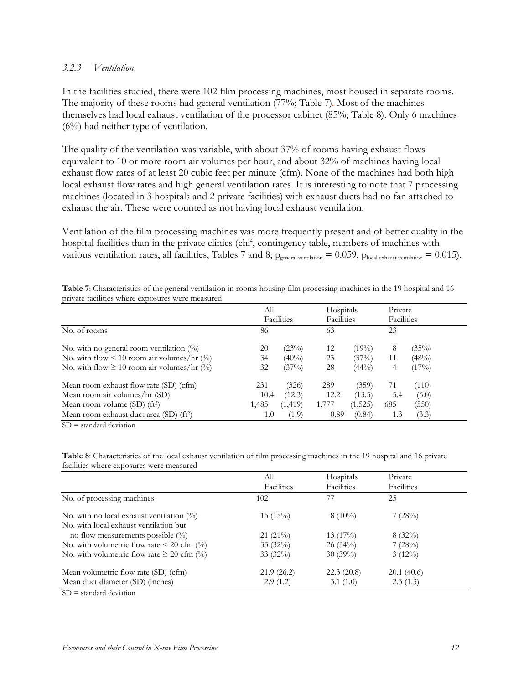#### *3.2.3 Ventilation*

In the facilities studied, there were 102 film processing machines, most housed in separate rooms. The majority of these rooms had general ventilation (77%; Table 7). Most of the machines themselves had local exhaust ventilation of the processor cabinet (85%; Table 8). Only 6 machines (6%) had neither type of ventilation.

The quality of the ventilation was variable, with about 37% of rooms having exhaust flows equivalent to 10 or more room air volumes per hour, and about 32% of machines having local exhaust flow rates of at least 20 cubic feet per minute (cfm). None of the machines had both high local exhaust flow rates and high general ventilation rates. It is interesting to note that 7 processing machines (located in 3 hospitals and 2 private facilities) with exhaust ducts had no fan attached to exhaust the air. These were counted as not having local exhaust ventilation.

Ventilation of the film processing machines was more frequently present and of better quality in the hospital facilities than in the private clinics (chi<sup>2</sup>, contingency table, numbers of machines with various ventilation rates, all facilities, Tables 7 and 8;  $p_{general$  ventilation = 0.059,  $p_{local}$  exhaust ventilation = 0.015).

|                                                     | All<br>Facilities |          | Hospitals<br>Facilities |          | Private    |       |
|-----------------------------------------------------|-------------------|----------|-------------------------|----------|------------|-------|
|                                                     |                   |          |                         |          | Facilities |       |
| No. of rooms                                        | 86                |          | 63                      |          | 23         |       |
| No. with no general room ventilation $(\%)$         | 20                | (23%)    | 12                      | $(19\%)$ | 8          | (35%) |
| No. with flow < 10 room air volumes/hr $(\%)$       | 34                | $(40\%)$ | 23                      | (37%)    | 11         | (48%) |
| No. with flow $\geq 10$ room air volumes/hr (%)     | 32                | (37%)    | 28                      | $(44\%)$ | 4          | (17%) |
| Mean room exhaust flow rate (SD) (cfm)              | 231               | (326)    | 289                     | (359)    | 71         | (110) |
| Mean room air volumes/hr (SD)                       | 10.4              | (12.3)   | 12.2                    | (13.5)   | 5.4        | (6.0) |
| Mean room volume $(SD)$ (ft <sup>3</sup> )          |                   | (1, 419) | 1,777                   | (1,525)  | 685        | (550) |
| Mean room exhaust duct area (SD) (ft <sup>2</sup> ) | 1.0               | (1.9)    | 0.89                    | (0.84)   | 1.3        | (3.3) |

| Table 7: Characteristics of the general ventilation in rooms housing film processing machines in the 19 hospital and 16 |  |  |  |  |
|-------------------------------------------------------------------------------------------------------------------------|--|--|--|--|
| private facilities where exposures were measured                                                                        |  |  |  |  |

SD = standard deviation

**Table 8**: Characteristics of the local exhaust ventilation of film processing machines in the 19 hospital and 16 private facilities where exposures were measured

|                                                     | All        | Hospitals   | Private    |  |
|-----------------------------------------------------|------------|-------------|------------|--|
|                                                     | Facilities | Facilities  | Facilities |  |
| No. of processing machines                          | 102        | 77          | 25         |  |
| No. with no local exhaust ventilation $\frac{1}{2}$ | $15(15\%)$ | $8(10\%)$   | 7(28%)     |  |
| No. with local exhaust ventilation but              |            |             |            |  |
| no flow measurements possible $(\%)$                | $21(21\%)$ | 13 $(17\%)$ | $8(32\%)$  |  |
| No. with volumetric flow rate $\leq 20$ cfm (%)     | $33(32\%)$ | $26(34\%)$  | 7(28%)     |  |
| No. with volumetric flow rate $\geq 20$ cfm (%)     | $33(32\%)$ | $30(39\%)$  | $3(12\%)$  |  |
| Mean volumetric flow rate (SD) (cfm)                | 21.9(26.2) | 22.3(20.8)  | 20.1(40.6) |  |
| Mean duct diameter (SD) (inches)                    | 2.9(1.2)   | 3.1(1.0)    | 2.3(1.3)   |  |
| $SD = standard deviation$                           |            |             |            |  |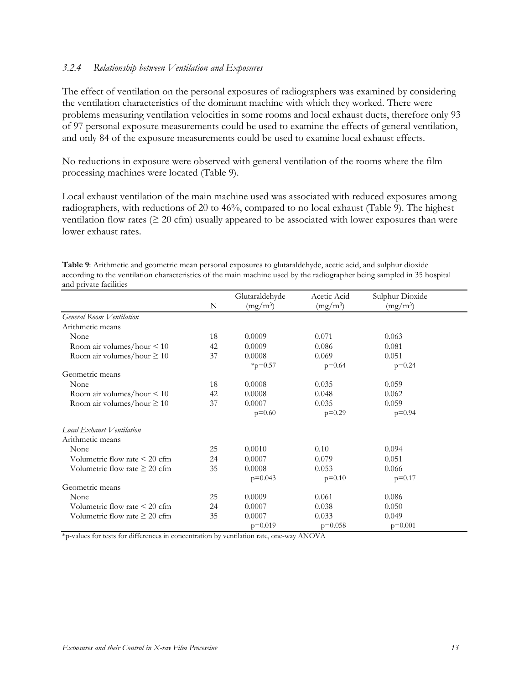#### *3.2.4 Relationship between Ventilation and Exposures*

The effect of ventilation on the personal exposures of radiographers was examined by considering the ventilation characteristics of the dominant machine with which they worked. There were problems measuring ventilation velocities in some rooms and local exhaust ducts, therefore only 93 of 97 personal exposure measurements could be used to examine the effects of general ventilation, and only 84 of the exposure measurements could be used to examine local exhaust effects.

No reductions in exposure were observed with general ventilation of the rooms where the film processing machines were located (Table 9).

Local exhaust ventilation of the main machine used was associated with reduced exposures among radiographers, with reductions of 20 to 46%, compared to no local exhaust (Table 9). The highest ventilation flow rates  $(≥ 20$  cfm) usually appeared to be associated with lower exposures than were lower exhaust rates.

| Table 9: Arithmetic and geometric mean personal exposures to glutaraldehyde, acetic acid, and sulphur dioxide          |
|------------------------------------------------------------------------------------------------------------------------|
| according to the ventilation characteristics of the main machine used by the radiographer being sampled in 35 hospital |
| and private facilities                                                                                                 |

|                                    |    | Glutaraldehyde | Acetic Acid | Sulphur Dioxide |  |
|------------------------------------|----|----------------|-------------|-----------------|--|
|                                    | N  | $(mg/m^3)$     | $(mg/m^3)$  | $(mg/m^3)$      |  |
| General Room Ventilation           |    |                |             |                 |  |
| Arithmetic means                   |    |                |             |                 |  |
| None                               | 18 | 0.0009         | 0.071       | 0.063           |  |
| Room air volumes/hour $\leq 10$    | 42 | 0.0009         | 0.086       | 0.081           |  |
| Room air volumes/hour $\geq 10$    | 37 | 0.0008         | 0.069       | 0.051           |  |
|                                    |    | $*_{p=0.57}$   | $p=0.64$    | $p=0.24$        |  |
| Geometric means                    |    |                |             |                 |  |
| None                               | 18 | 0.0008         | 0.035       | 0.059           |  |
| Room air volumes/hour $\leq 10$    | 42 | 0.0008         | 0.048       | 0.062           |  |
| Room air volumes/hour $\geq 10$    | 37 | 0.0007         | 0.035       | 0.059           |  |
|                                    |    | $p=0.60$       | $p=0.29$    | $p=0.94$        |  |
| Local Exhaust Ventilation          |    |                |             |                 |  |
| Arithmetic means                   |    |                |             |                 |  |
| None                               | 25 | 0.0010         | 0.10        | 0.094           |  |
| Volumetric flow rate $\leq 20$ cfm | 24 | 0.0007         | 0.079       | 0.051           |  |
| Volumetric flow rate $\geq 20$ cfm | 35 | 0.0008         | 0.053       | 0.066           |  |
|                                    |    | $p=0.043$      | $p=0.10$    | $p=0.17$        |  |
| Geometric means                    |    |                |             |                 |  |
| None                               | 25 | 0.0009         | 0.061       | 0.086           |  |
| Volumetric flow rate $\leq 20$ cfm | 24 | 0.0007         | 0.038       | 0.050           |  |
| Volumetric flow rate $\geq 20$ cfm | 35 | 0.0007         | 0.033       | 0.049           |  |
|                                    |    | $p=0.019$      | $p=0.058$   | $p=0.001$       |  |

\*p-values for tests for differences in concentration by ventilation rate, one-way ANOVA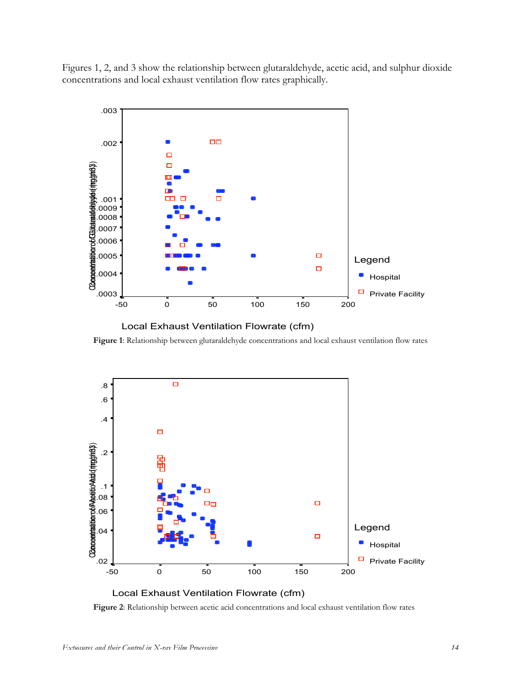Figures 1, 2, and 3 show the relationship between glutaraldehyde, acetic acid, and sulphur dioxide concentrations and local exhaust ventilation flow rates graphically.





**Figure 1**: Relationship between glutaraldehyde concentrations and local exhaust ventilation flow rates



**Figure 2**: Relationship between acetic acid concentrations and local exhaust ventilation flow rates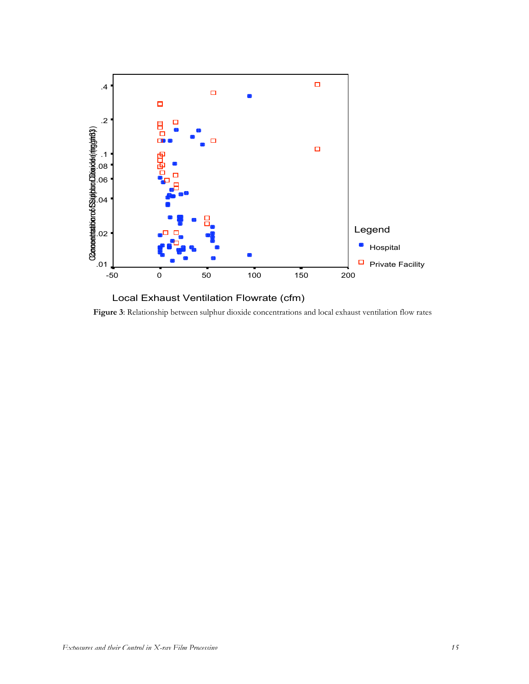

Local Exhaust Ventilation Flowrate (cfm) **Figure 3**: Relationship between sulphur dioxide concentrations and local exhaust ventilation flow rates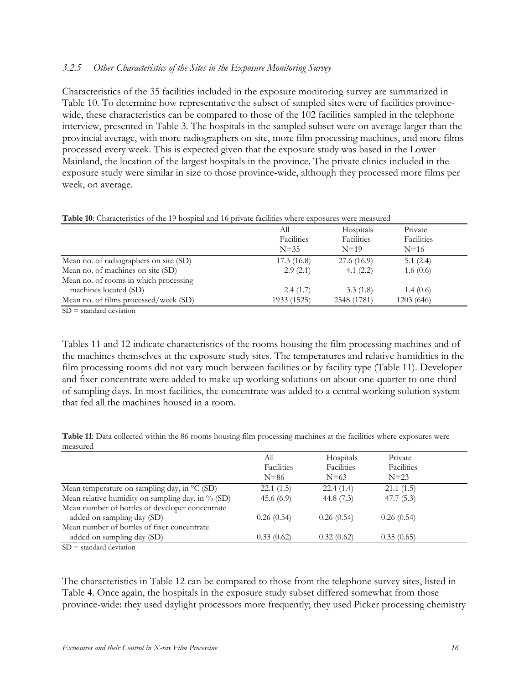#### *3.2.5 Other Characteristics of the Sites in the Exposure Monitoring Survey*

Characteristics of the 35 facilities included in the exposure monitoring survey are summarized in Table 10. To determine how representative the subset of sampled sites were of facilities provincewide, these characteristics can be compared to those of the 102 facilities sampled in the telephone interview, presented in Table 3. The hospitals in the sampled subset were on average larger than the provincial average, with more radiographers on site, more film processing machines, and more films processed every week. This is expected given that the exposure study was based in the Lower Mainland, the location of the largest hospitals in the province. The private clinics included in the exposure study were similar in size to those province-wide, although they processed more films per week, on average.

#### **Table 10**: Characteristics of the 19 hospital and 16 private facilities where exposures were measured

|                                        | All         | Hospitals   | Private    |  |
|----------------------------------------|-------------|-------------|------------|--|
|                                        | Facilities  | Facilities  | Facilities |  |
|                                        | $N = 35$    | $N=19$      | $N=16$     |  |
| Mean no. of radiographers on site (SD) | 17.3(16.8)  | 27.6(16.9)  | 5.1(2.4)   |  |
| Mean no. of machines on site (SD)      | 2.9(2.1)    | 4.1 $(2.2)$ | 1.6(0.6)   |  |
| Mean no. of rooms in which processing  |             |             |            |  |
| machines located (SD)                  | 2.4(1.7)    | 3.3(1.8)    | 1.4(0.6)   |  |
| Mean no. of films processed/week (SD)  | 1933 (1525) | 2548 (1781) | 1203 (646) |  |
|                                        |             |             |            |  |

SD = standard deviation

Tables 11 and 12 indicate characteristics of the rooms housing the film processing machines and of the machines themselves at the exposure study sites. The temperatures and relative humidities in the film processing rooms did not vary much between facilities or by facility type (Table 11). Developer and fixer concentrate were added to make up working solutions on about one-quarter to one-third of sampling days. In most facilities, the concentrate was added to a central working solution system that fed all the machines housed in a room.

**Table 11**: Data collected within the 86 rooms housing film processing machines at the facilities where exposures were measured

|                                                   | All<br>Facilities<br>$N=86$ | Hospitals<br>Facilities<br>$N=63$ | Private<br>Facilities<br>$N=23$ |  |
|---------------------------------------------------|-----------------------------|-----------------------------------|---------------------------------|--|
| Mean temperature on sampling day, in °C (SD)      | 22.1(1.5)                   | 22.4(1.4)                         | 21.1(1.5)                       |  |
| Mean relative humidity on sampling day, in % (SD) | 45.6 $(6.9)$                | 44.8 $(7.3)$                      | 47.7(5.3)                       |  |
| Mean number of bottles of developer concentrate   |                             |                                   |                                 |  |
| added on sampling day (SD)                        | 0.26(0.54)                  | 0.26(0.54)                        | 0.26(0.54)                      |  |
| Mean number of bottles of fixer concentrate       |                             |                                   |                                 |  |
| added on sampling day (SD)                        | 0.33(0.62)                  | 0.32(0.62)                        | 0.35(0.65)                      |  |
|                                                   |                             |                                   |                                 |  |

 $SD = standard deviation$ 

The characteristics in Table 12 can be compared to those from the telephone survey sites, listed in Table 4. Once again, the hospitals in the exposure study subset differed somewhat from those province-wide: they used daylight processors more frequently; they used Picker processing chemistry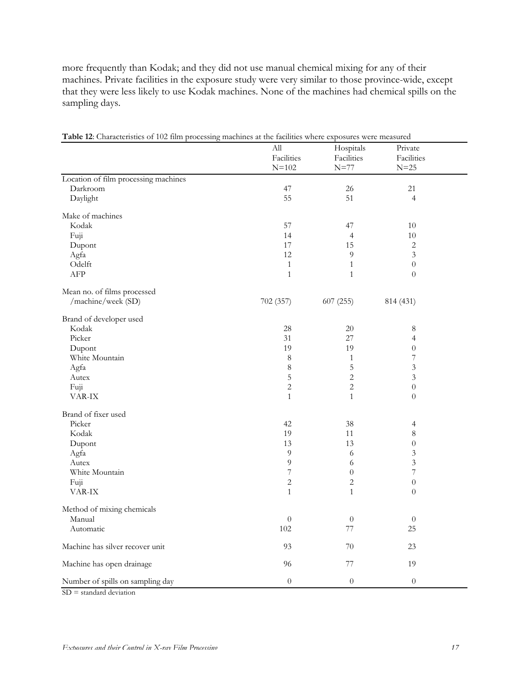more frequently than Kodak; and they did not use manual chemical mixing for any of their machines. Private facilities in the exposure study were very similar to those province-wide, except that they were less likely to use Kodak machines. None of the machines had chemical spills on the sampling days.

|                                                               | All                     | Hospitals            | Private              |  |
|---------------------------------------------------------------|-------------------------|----------------------|----------------------|--|
|                                                               | Facilities<br>$N = 102$ | Facilities<br>$N=77$ | Facilities<br>$N=25$ |  |
| Location of film processing machines                          |                         |                      |                      |  |
| Darkroom                                                      | 47                      | $26\,$               | 21                   |  |
| Daylight                                                      | 55                      | 51                   | $\overline{4}$       |  |
|                                                               |                         |                      |                      |  |
| Make of machines                                              |                         |                      |                      |  |
| Kodak                                                         | 57                      | 47                   | 10                   |  |
| Fuji                                                          | 14                      | 4                    | $10\,$               |  |
| Dupont                                                        | 17                      | 15                   | $\overline{c}$       |  |
| Agfa                                                          | 12                      | 9                    | 3                    |  |
| Odelft                                                        | $\mathbf{1}$            | $\mathbf{1}$         | $\boldsymbol{0}$     |  |
| ${\rm AFP}$                                                   | $\mathbf{1}$            | $\mathbf{1}$         | $\overline{0}$       |  |
| Mean no. of films processed                                   |                         |                      |                      |  |
| /machine/week (SD)                                            | 702 (357)               | 607(255)             | 814 (431)            |  |
| Brand of developer used                                       |                         |                      |                      |  |
| Kodak                                                         | 28                      | $20\,$               | 8                    |  |
| Picker                                                        | 31                      | 27                   | 4                    |  |
| Dupont                                                        | 19                      | 19                   | $\boldsymbol{0}$     |  |
| White Mountain                                                | 8                       | $\mathbf{1}$         | $\sqrt{ }$           |  |
| Agfa                                                          | $\,8\,$                 | 5                    | $\mathfrak{Z}$       |  |
| Autex                                                         | 5                       | $\overline{c}$       | $\mathfrak{Z}$       |  |
| Fuji                                                          | 2                       | $\overline{c}$       | $\boldsymbol{0}$     |  |
| VAR-IX                                                        | $\mathbf{1}$            | $\mathbf{1}$         | $\overline{0}$       |  |
| Brand of fixer used                                           |                         |                      |                      |  |
| Picker                                                        | 42                      | 38                   | 4                    |  |
| Kodak                                                         | 19                      | 11                   | 8                    |  |
| Dupont                                                        | 13                      | 13                   | $\theta$             |  |
| Agfa                                                          | 9                       | 6                    | 3                    |  |
| Autex                                                         | $\overline{9}$          | 6                    | $\mathfrak{Z}$       |  |
| White Mountain                                                | $\sqrt{ }$              | $\boldsymbol{0}$     | $\overline{7}$       |  |
| Fuji                                                          | $\sqrt{2}$              | $\overline{c}$       | $\boldsymbol{0}$     |  |
| VAR-IX                                                        | $\mathbf{1}$            | $\mathbf{1}$         | $\overline{0}$       |  |
| Method of mixing chemicals                                    |                         |                      |                      |  |
| Manual                                                        | $\boldsymbol{0}$        | $\boldsymbol{0}$     | $\theta$             |  |
| Automatic                                                     | $102\,$                 | $77\,$               | 25                   |  |
| Machine has silver recover unit                               | 93                      | 70                   | 23                   |  |
| Machine has open drainage                                     | 96                      | $77\,$               | 19                   |  |
| Number of spills on sampling day<br>$SD = standard deviation$ | $\boldsymbol{0}$        | $\boldsymbol{0}$     | $\boldsymbol{0}$     |  |

**Table 12**: Characteristics of 102 film processing machines at the facilities where exposures were measured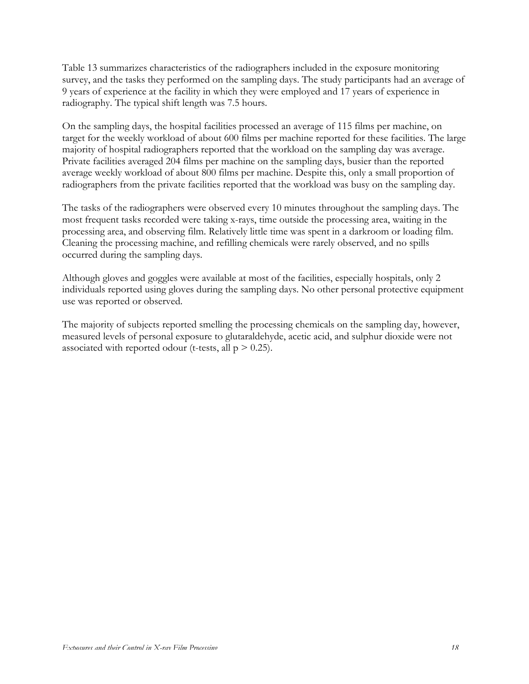Table 13 summarizes characteristics of the radiographers included in the exposure monitoring survey, and the tasks they performed on the sampling days. The study participants had an average of 9 years of experience at the facility in which they were employed and 17 years of experience in radiography. The typical shift length was 7.5 hours.

On the sampling days, the hospital facilities processed an average of 115 films per machine, on target for the weekly workload of about 600 films per machine reported for these facilities. The large majority of hospital radiographers reported that the workload on the sampling day was average. Private facilities averaged 204 films per machine on the sampling days, busier than the reported average weekly workload of about 800 films per machine. Despite this, only a small proportion of radiographers from the private facilities reported that the workload was busy on the sampling day.

The tasks of the radiographers were observed every 10 minutes throughout the sampling days. The most frequent tasks recorded were taking x-rays, time outside the processing area, waiting in the processing area, and observing film. Relatively little time was spent in a darkroom or loading film. Cleaning the processing machine, and refilling chemicals were rarely observed, and no spills occurred during the sampling days.

Although gloves and goggles were available at most of the facilities, especially hospitals, only 2 individuals reported using gloves during the sampling days. No other personal protective equipment use was reported or observed.

The majority of subjects reported smelling the processing chemicals on the sampling day, however, measured levels of personal exposure to glutaraldehyde, acetic acid, and sulphur dioxide were not associated with reported odour (t-tests, all  $p > 0.25$ ).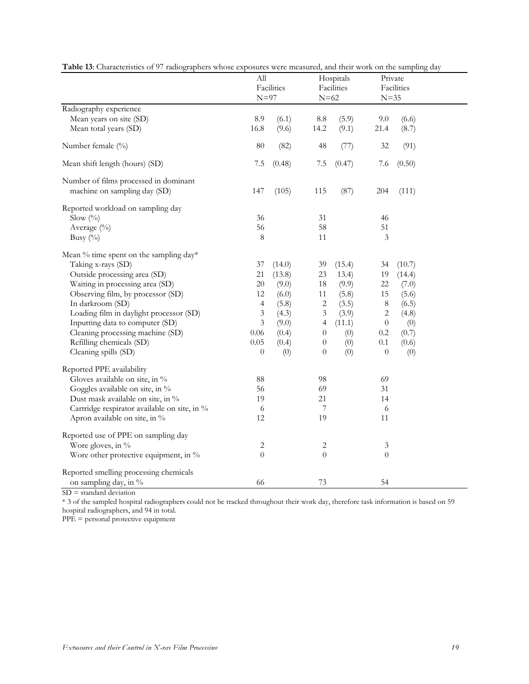|                                                                                                                                                                                                                                                                                                                                                                | ${\rm All}$<br>$N=97$                                                                                  | Facilities                                                                             | $N=62$                                                                                                      | Hospitals<br>Facilities                                                            | $N = 35$                                                                                        | Private<br>Facilities                                                                |  |
|----------------------------------------------------------------------------------------------------------------------------------------------------------------------------------------------------------------------------------------------------------------------------------------------------------------------------------------------------------------|--------------------------------------------------------------------------------------------------------|----------------------------------------------------------------------------------------|-------------------------------------------------------------------------------------------------------------|------------------------------------------------------------------------------------|-------------------------------------------------------------------------------------------------|--------------------------------------------------------------------------------------|--|
| Radiography experience<br>Mean years on site (SD)<br>Mean total years (SD)                                                                                                                                                                                                                                                                                     | 8.9<br>16.8                                                                                            | (6.1)<br>(9.6)                                                                         | 8.8<br>14.2                                                                                                 | (5.9)<br>(9.1)                                                                     | 9.0<br>21.4                                                                                     | (6.6)<br>(8.7)                                                                       |  |
| Number female (%)                                                                                                                                                                                                                                                                                                                                              | 80                                                                                                     | (82)                                                                                   | 48                                                                                                          | (77)                                                                               | 32                                                                                              | (91)                                                                                 |  |
| Mean shift length (hours) (SD)                                                                                                                                                                                                                                                                                                                                 | 7.5                                                                                                    | (0.48)                                                                                 | $7.5\,$                                                                                                     | (0.47)                                                                             | 7.6                                                                                             | (0.50)                                                                               |  |
| Number of films processed in dominant<br>machine on sampling day (SD)                                                                                                                                                                                                                                                                                          | 147                                                                                                    | (105)                                                                                  | 115                                                                                                         | (87)                                                                               | 204                                                                                             | (111)                                                                                |  |
| Reported workload on sampling day<br>Slow (%)<br>Average (%)<br>Busy (%)                                                                                                                                                                                                                                                                                       | 36<br>56<br>$\,8\,$                                                                                    |                                                                                        | 31<br>58<br>11                                                                                              |                                                                                    | 46<br>51<br>3                                                                                   |                                                                                      |  |
| Mean % time spent on the sampling day*<br>Taking x-rays (SD)<br>Outside processing area (SD)<br>Waiting in processing area (SD)<br>Observing film, by processor (SD)<br>In darkroom (SD)<br>Loading film in daylight processor (SD)<br>Inputting data to computer (SD)<br>Cleaning processing machine (SD)<br>Refilling chemicals (SD)<br>Cleaning spills (SD) | 37<br>21<br>20<br>12<br>$\overline{4}$<br>$\mathfrak{Z}$<br>$\mathfrak{Z}$<br>0.06<br>0.05<br>$\theta$ | (14.0)<br>(13.8)<br>(9.0)<br>(6.0)<br>(5.8)<br>(4.3)<br>(9.0)<br>(0.4)<br>(0.4)<br>(0) | 39<br>23<br>18<br>11<br>$\sqrt{2}$<br>3<br>$\overline{4}$<br>$\overline{0}$<br>$\boldsymbol{0}$<br>$\theta$ | (15.4)<br>13.4)<br>(9.9)<br>(5.8)<br>(3.5)<br>(3.9)<br>(11.1)<br>(0)<br>(0)<br>(0) | 34<br>19<br>22<br>15<br>$\,8\,$<br>$\sqrt{2}$<br>$\boldsymbol{0}$<br>$0.2\,$<br>0.1<br>$\theta$ | (10.7)<br>(14.4)<br>(7.0)<br>(5.6)<br>(6.5)<br>(4.8)<br>(0)<br>(0.7)<br>(0.6)<br>(0) |  |
| Reported PPE availability<br>Gloves available on site, in %<br>Goggles available on site, in %<br>Dust mask available on site, in %<br>Cartridge respirator available on site, in %<br>Apron available on site, in %                                                                                                                                           | 88<br>56<br>19<br>6<br>12                                                                              |                                                                                        | 98<br>69<br>21<br>7<br>19                                                                                   |                                                                                    | 69<br>31<br>14<br>6<br>11                                                                       |                                                                                      |  |
| Reported use of PPE on sampling day<br>Wore gloves, in %<br>Wore other protective equipment, in %                                                                                                                                                                                                                                                              | $\sqrt{2}$<br>$\theta$                                                                                 |                                                                                        | $\mathbf{2}$<br>$\boldsymbol{0}$                                                                            |                                                                                    | 3<br>$\theta$                                                                                   |                                                                                      |  |
| Reported smelling processing chemicals<br>on sampling day, in %                                                                                                                                                                                                                                                                                                | 66                                                                                                     |                                                                                        | 73                                                                                                          |                                                                                    | 54                                                                                              |                                                                                      |  |

**Table 13**: Characteristics of 97 radiographers whose exposures were measured, and their work on the sampling day

SD = standard deviation

\* 3 of the sampled hospital radiographers could not be tracked throughout their work day, therefore task information is based on 59

hospital radiographers, and 94 in total.

PPE = personal protective equipment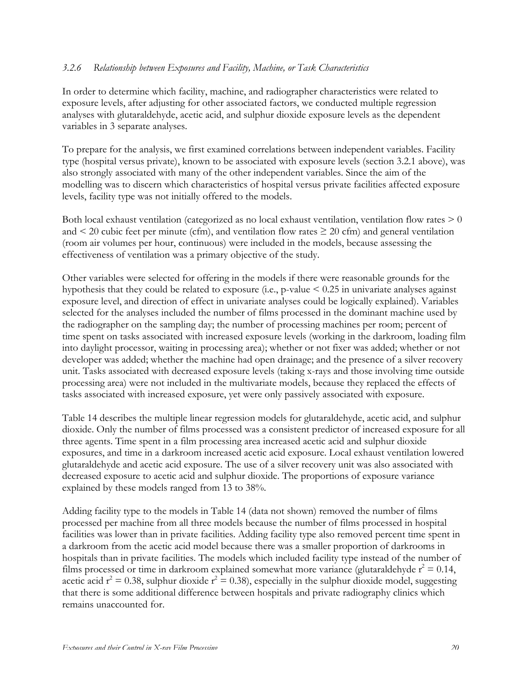#### *3.2.6 Relationship between Exposures and Facility, Machine, or Task Characteristics*

In order to determine which facility, machine, and radiographer characteristics were related to exposure levels, after adjusting for other associated factors, we conducted multiple regression analyses with glutaraldehyde, acetic acid, and sulphur dioxide exposure levels as the dependent variables in 3 separate analyses.

To prepare for the analysis, we first examined correlations between independent variables. Facility type (hospital versus private), known to be associated with exposure levels (section 3.2.1 above), was also strongly associated with many of the other independent variables. Since the aim of the modelling was to discern which characteristics of hospital versus private facilities affected exposure levels, facility type was not initially offered to the models.

Both local exhaust ventilation (categorized as no local exhaust ventilation, ventilation flow rates  $> 0$ and  $\leq$  20 cubic feet per minute (cfm), and ventilation flow rates  $\geq$  20 cfm) and general ventilation (room air volumes per hour, continuous) were included in the models, because assessing the effectiveness of ventilation was a primary objective of the study.

Other variables were selected for offering in the models if there were reasonable grounds for the hypothesis that they could be related to exposure (i.e., p-value < 0.25 in univariate analyses against exposure level, and direction of effect in univariate analyses could be logically explained). Variables selected for the analyses included the number of films processed in the dominant machine used by the radiographer on the sampling day; the number of processing machines per room; percent of time spent on tasks associated with increased exposure levels (working in the darkroom, loading film into daylight processor, waiting in processing area); whether or not fixer was added; whether or not developer was added; whether the machine had open drainage; and the presence of a silver recovery unit. Tasks associated with decreased exposure levels (taking x-rays and those involving time outside processing area) were not included in the multivariate models, because they replaced the effects of tasks associated with increased exposure, yet were only passively associated with exposure.

Table 14 describes the multiple linear regression models for glutaraldehyde, acetic acid, and sulphur dioxide. Only the number of films processed was a consistent predictor of increased exposure for all three agents. Time spent in a film processing area increased acetic acid and sulphur dioxide exposures, and time in a darkroom increased acetic acid exposure. Local exhaust ventilation lowered glutaraldehyde and acetic acid exposure. The use of a silver recovery unit was also associated with decreased exposure to acetic acid and sulphur dioxide. The proportions of exposure variance explained by these models ranged from 13 to 38%.

Adding facility type to the models in Table 14 (data not shown) removed the number of films processed per machine from all three models because the number of films processed in hospital facilities was lower than in private facilities. Adding facility type also removed percent time spent in a darkroom from the acetic acid model because there was a smaller proportion of darkrooms in hospitals than in private facilities. The models which included facility type instead of the number of films processed or time in darkroom explained somewhat more variance (glutaraldehyde  $r^2 = 0.14$ , acetic acid  $r^2 = 0.38$ , sulphur dioxide  $r^2 = 0.38$ ), especially in the sulphur dioxide model, suggesting that there is some additional difference between hospitals and private radiography clinics which remains unaccounted for.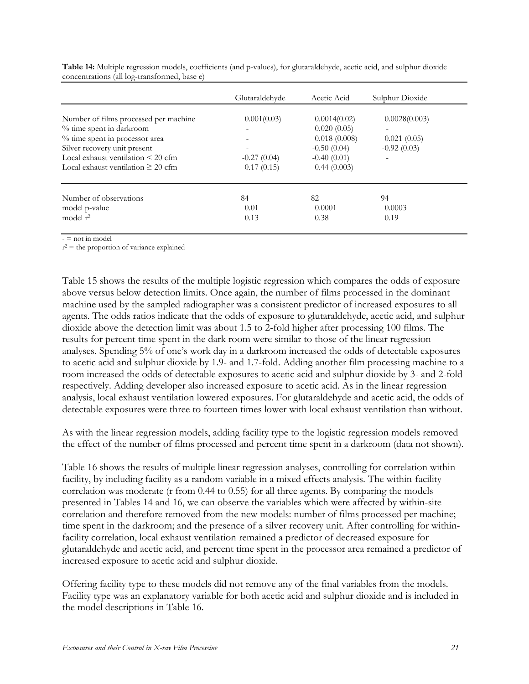|                                         | Glutaraldehyde           | Acetic Acid    | Sulphur Dioxide |  |
|-----------------------------------------|--------------------------|----------------|-----------------|--|
| Number of films processed per machine   | 0.001(0.03)              | 0.0014(0.02)   | 0.0028(0.003)   |  |
| % time spent in darkroom                | $\overline{\phantom{a}}$ | 0.020(0.05)    |                 |  |
| % time spent in processor area          |                          | 0.018(0.008)   | 0.021(0.05)     |  |
| Silver recovery unit present            | $\overline{\phantom{a}}$ | $-0.50(0.04)$  | $-0.92(0.03)$   |  |
| Local exhaust ventilation $\leq 20$ cfm | $-0.27(0.04)$            | $-0.40(0.01)$  |                 |  |
| Local exhaust ventilation $\geq 20$ cfm | $-0.17(0.15)$            | $-0.44(0.003)$ |                 |  |
| Number of observations                  | 84                       | 82             | 94              |  |
| model p-value                           | 0.01                     | 0.0001         | 0.0003          |  |
| model $r^2$                             | 0.13                     | 0.38           | 0.19            |  |

**Table 14:** Multiple regression models, coefficients (and p-values), for glutaraldehyde, acetic acid, and sulphur dioxide concentrations (all log-transformed, base e)

 $=$  not in model

 $r^2$  = the proportion of variance explained

Table 15 shows the results of the multiple logistic regression which compares the odds of exposure above versus below detection limits. Once again, the number of films processed in the dominant machine used by the sampled radiographer was a consistent predictor of increased exposures to all agents. The odds ratios indicate that the odds of exposure to glutaraldehyde, acetic acid, and sulphur dioxide above the detection limit was about 1.5 to 2-fold higher after processing 100 films. The results for percent time spent in the dark room were similar to those of the linear regression analyses. Spending 5% of one's work day in a darkroom increased the odds of detectable exposures to acetic acid and sulphur dioxide by 1.9- and 1.7-fold. Adding another film processing machine to a room increased the odds of detectable exposures to acetic acid and sulphur dioxide by 3- and 2-fold respectively. Adding developer also increased exposure to acetic acid. As in the linear regression analysis, local exhaust ventilation lowered exposures. For glutaraldehyde and acetic acid, the odds of detectable exposures were three to fourteen times lower with local exhaust ventilation than without.

As with the linear regression models, adding facility type to the logistic regression models removed the effect of the number of films processed and percent time spent in a darkroom (data not shown).

Table 16 shows the results of multiple linear regression analyses, controlling for correlation within facility, by including facility as a random variable in a mixed effects analysis. The within-facility correlation was moderate (r from 0.44 to 0.55) for all three agents. By comparing the models presented in Tables 14 and 16, we can observe the variables which were affected by within-site correlation and therefore removed from the new models: number of films processed per machine; time spent in the darkroom; and the presence of a silver recovery unit. After controlling for withinfacility correlation, local exhaust ventilation remained a predictor of decreased exposure for glutaraldehyde and acetic acid, and percent time spent in the processor area remained a predictor of increased exposure to acetic acid and sulphur dioxide.

Offering facility type to these models did not remove any of the final variables from the models. Facility type was an explanatory variable for both acetic acid and sulphur dioxide and is included in the model descriptions in Table 16.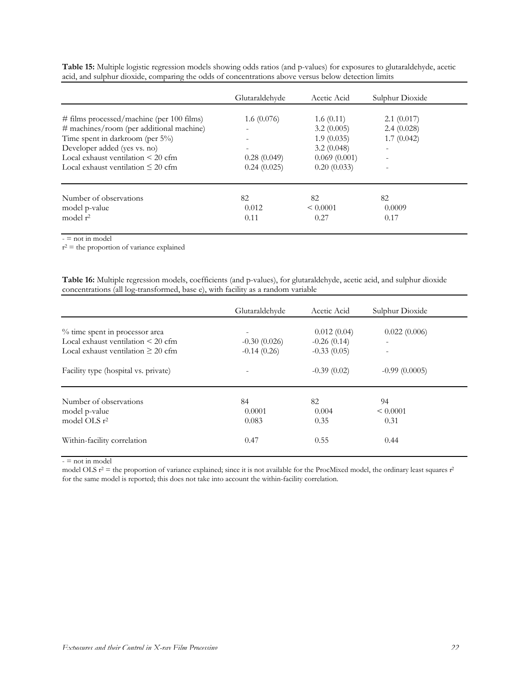|                                              | Glutaraldehyde           | Acetic Acid   | Sulphur Dioxide |  |
|----------------------------------------------|--------------------------|---------------|-----------------|--|
| $\#$ films processed/machine (per 100 films) | 1.6(0.076)               | 1.6(0.11)     | $2.1 \ (0.017)$ |  |
| # machines/room (per additional machine)     | $\overline{\phantom{a}}$ | 3.2(0.005)    | 2.4(0.028)      |  |
| Time spent in darkroom (per 5%)              |                          | 1.9(0.035)    | 1.7(0.042)      |  |
| Developer added (yes vs. no)                 | $\overline{\phantom{a}}$ | 3.2(0.048)    | ۰               |  |
| Local exhaust ventilation $\leq 20$ cfm      | 0.28(0.049)              | 0.069(0.001)  |                 |  |
| Local exhaust ventilation $\leq 20$ cfm      | 0.24(0.025)              | 0.20(0.033)   |                 |  |
| Number of observations                       | 82                       | 82            | 82              |  |
| model p-value                                | 0.012                    | $\leq 0.0001$ | 0.0009          |  |
| model $r^2$                                  | 0.11                     | 0.27          | 0.17            |  |

**Table 15:** Multiple logistic regression models showing odds ratios (and p-values) for exposures to glutaraldehyde, acetic acid, and sulphur dioxide, comparing the odds of concentrations above versus below detection limits

 $-$  = not in model

 $r^2$  = the proportion of variance explained

**Table 16:** Multiple regression models, coefficients (and p-values), for glutaraldehyde, acetic acid, and sulphur dioxide concentrations (all log-transformed, base e), with facility as a random variable

|                                         | Glutaraldehyde           | Acetic Acid   | Sulphur Dioxide |
|-----------------------------------------|--------------------------|---------------|-----------------|
| % time spent in processor area          | $\overline{\phantom{a}}$ | 0.012(0.04)   | 0.022(0.006)    |
| Local exhaust ventilation $\leq 20$ cfm | $-0.30(0.026)$           | $-0.26(0.14)$ | ٠               |
| Local exhaust ventilation $\geq 20$ cfm | $-0.14(0.26)$            | $-0.33(0.05)$ |                 |
| Facility type (hospital vs. private)    |                          | $-0.39(0.02)$ | $-0.99(0.0005)$ |
| Number of observations                  | 84                       | 82            | 94              |
| model p-value                           | 0.0001                   | 0.004         | $\leq 0.0001$   |
| model OLS $r^2$                         | 0.083                    | 0.35          | 0.31            |
| Within-facility correlation             | 0.47                     | 0.55          | 0.44            |

 $-$  = not in model

model OLS  $r^2$  = the proportion of variance explained; since it is not available for the ProcMixed model, the ordinary least squares  $r^2$ for the same model is reported; this does not take into account the within-facility correlation.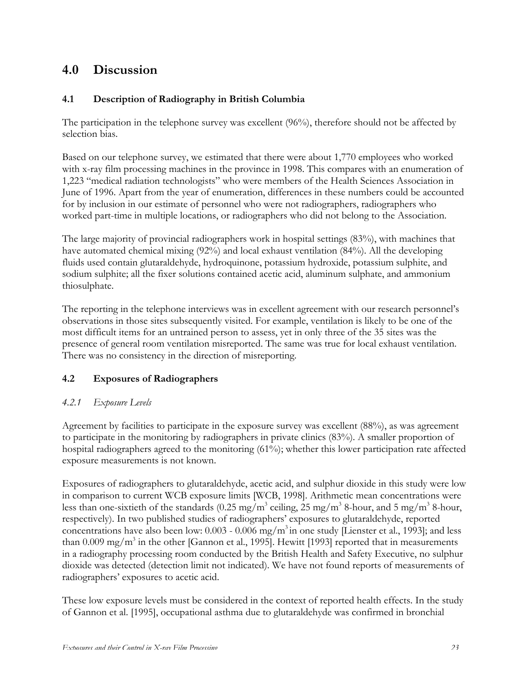## **4.0 Discussion**

## **4.1 Description of Radiography in British Columbia**

The participation in the telephone survey was excellent (96%), therefore should not be affected by selection bias.

Based on our telephone survey, we estimated that there were about 1,770 employees who worked with x-ray film processing machines in the province in 1998. This compares with an enumeration of 1,223 "medical radiation technologists" who were members of the Health Sciences Association in June of 1996. Apart from the year of enumeration, differences in these numbers could be accounted for by inclusion in our estimate of personnel who were not radiographers, radiographers who worked part-time in multiple locations, or radiographers who did not belong to the Association.

The large majority of provincial radiographers work in hospital settings (83%), with machines that have automated chemical mixing (92%) and local exhaust ventilation (84%). All the developing fluids used contain glutaraldehyde, hydroquinone, potassium hydroxide, potassium sulphite, and sodium sulphite; all the fixer solutions contained acetic acid, aluminum sulphate, and ammonium thiosulphate.

The reporting in the telephone interviews was in excellent agreement with our research personnel's observations in those sites subsequently visited. For example, ventilation is likely to be one of the most difficult items for an untrained person to assess, yet in only three of the 35 sites was the presence of general room ventilation misreported. The same was true for local exhaust ventilation. There was no consistency in the direction of misreporting.

## **4.2 Exposures of Radiographers**

## *4.2.1 Exposure Levels*

Agreement by facilities to participate in the exposure survey was excellent (88%), as was agreement to participate in the monitoring by radiographers in private clinics (83%). A smaller proportion of hospital radiographers agreed to the monitoring (61%); whether this lower participation rate affected exposure measurements is not known.

Exposures of radiographers to glutaraldehyde, acetic acid, and sulphur dioxide in this study were low in comparison to current WCB exposure limits [WCB, 1998]. Arithmetic mean concentrations were less than one-sixtieth of the standards (0.25 mg/m<sup>3</sup> ceiling, 25 mg/m<sup>3</sup> 8-hour, and 5 mg/m<sup>3</sup> 8-hour, respectively). In two published studies of radiographers' exposures to glutaraldehyde, reported concentrations have also been low:  $0.003 - 0.006$  mg/m<sup>3</sup> in one study [Lienster et al., 1993]; and less than 0.009 mg/m<sup>3</sup> in the other [Gannon et al., 1995]. Hewitt [1993] reported that in measurements in a radiography processing room conducted by the British Health and Safety Executive, no sulphur dioxide was detected (detection limit not indicated). We have not found reports of measurements of radiographers' exposures to acetic acid.

These low exposure levels must be considered in the context of reported health effects. In the study of Gannon et al. [1995], occupational asthma due to glutaraldehyde was confirmed in bronchial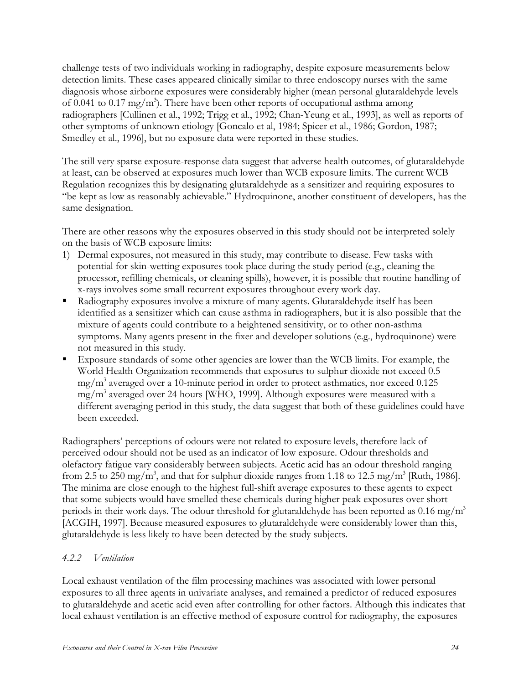challenge tests of two individuals working in radiography, despite exposure measurements below detection limits. These cases appeared clinically similar to three endoscopy nurses with the same diagnosis whose airborne exposures were considerably higher (mean personal glutaraldehyde levels of 0.041 to 0.17 mg/m<sup>3</sup>). There have been other reports of occupational asthma among radiographers [Cullinen et al., 1992; Trigg et al., 1992; Chan-Yeung et al., 1993], as well as reports of other symptoms of unknown etiology [Goncalo et al, 1984; Spicer et al., 1986; Gordon, 1987; Smedley et al., 1996], but no exposure data were reported in these studies.

The still very sparse exposure-response data suggest that adverse health outcomes, of glutaraldehyde at least, can be observed at exposures much lower than WCB exposure limits. The current WCB Regulation recognizes this by designating glutaraldehyde as a sensitizer and requiring exposures to "be kept as low as reasonably achievable." Hydroquinone, another constituent of developers, has the same designation.

There are other reasons why the exposures observed in this study should not be interpreted solely on the basis of WCB exposure limits:

- 1) Dermal exposures, not measured in this study, may contribute to disease. Few tasks with potential for skin-wetting exposures took place during the study period (e.g., cleaning the processor, refilling chemicals, or cleaning spills), however, it is possible that routine handling of x-rays involves some small recurrent exposures throughout every work day.
- ß Radiography exposures involve a mixture of many agents. Glutaraldehyde itself has been identified as a sensitizer which can cause asthma in radiographers, but it is also possible that the mixture of agents could contribute to a heightened sensitivity, or to other non-asthma symptoms. Many agents present in the fixer and developer solutions (e.g., hydroquinone) were not measured in this study.
- ß Exposure standards of some other agencies are lower than the WCB limits. For example, the World Health Organization recommends that exposures to sulphur dioxide not exceed 0.5 mg/m3 averaged over a 10-minute period in order to protect asthmatics, nor exceed 0.125 mg/m3 averaged over 24 hours [WHO, 1999]. Although exposures were measured with a different averaging period in this study, the data suggest that both of these guidelines could have been exceeded.

Radiographers' perceptions of odours were not related to exposure levels, therefore lack of perceived odour should not be used as an indicator of low exposure. Odour thresholds and olefactory fatigue vary considerably between subjects. Acetic acid has an odour threshold ranging from 2.5 to 250 mg/m<sup>3</sup>, and that for sulphur dioxide ranges from 1.18 to 12.5 mg/m<sup>3</sup> [Ruth, 1986]. The minima are close enough to the highest full-shift average exposures to these agents to expect that some subjects would have smelled these chemicals during higher peak exposures over short periods in their work days. The odour threshold for glutaraldehyde has been reported as 0.16 mg/m<sup>3</sup> [ACGIH, 1997]. Because measured exposures to glutaraldehyde were considerably lower than this, glutaraldehyde is less likely to have been detected by the study subjects.

#### *4.2.2 Ventilation*

Local exhaust ventilation of the film processing machines was associated with lower personal exposures to all three agents in univariate analyses, and remained a predictor of reduced exposures to glutaraldehyde and acetic acid even after controlling for other factors. Although this indicates that local exhaust ventilation is an effective method of exposure control for radiography, the exposures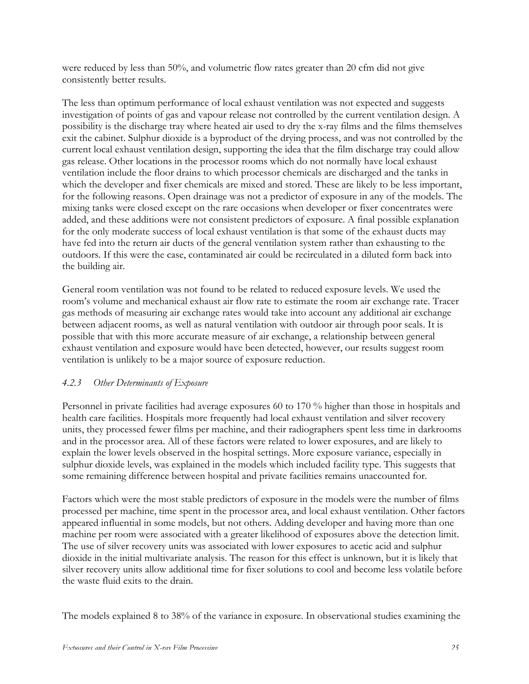were reduced by less than 50%, and volumetric flow rates greater than 20 cfm did not give consistently better results.

The less than optimum performance of local exhaust ventilation was not expected and suggests investigation of points of gas and vapour release not controlled by the current ventilation design. A possibility is the discharge tray where heated air used to dry the x-ray films and the films themselves exit the cabinet. Sulphur dioxide is a byproduct of the drying process, and was not controlled by the current local exhaust ventilation design, supporting the idea that the film discharge tray could allow gas release. Other locations in the processor rooms which do not normally have local exhaust ventilation include the floor drains to which processor chemicals are discharged and the tanks in which the developer and fixer chemicals are mixed and stored. These are likely to be less important, for the following reasons. Open drainage was not a predictor of exposure in any of the models. The mixing tanks were closed except on the rare occasions when developer or fixer concentrates were added, and these additions were not consistent predictors of exposure. A final possible explanation for the only moderate success of local exhaust ventilation is that some of the exhaust ducts may have fed into the return air ducts of the general ventilation system rather than exhausting to the outdoors. If this were the case, contaminated air could be recirculated in a diluted form back into the building air.

General room ventilation was not found to be related to reduced exposure levels. We used the room's volume and mechanical exhaust air flow rate to estimate the room air exchange rate. Tracer gas methods of measuring air exchange rates would take into account any additional air exchange between adjacent rooms, as well as natural ventilation with outdoor air through poor seals. It is possible that with this more accurate measure of air exchange, a relationship between general exhaust ventilation and exposure would have been detected, however, our results suggest room ventilation is unlikely to be a major source of exposure reduction.

## *4.2.3 Other Determinants of Exposure*

Personnel in private facilities had average exposures 60 to 170 % higher than those in hospitals and health care facilities. Hospitals more frequently had local exhaust ventilation and silver recovery units, they processed fewer films per machine, and their radiographers spent less time in darkrooms and in the processor area. All of these factors were related to lower exposures, and are likely to explain the lower levels observed in the hospital settings. More exposure variance, especially in sulphur dioxide levels, was explained in the models which included facility type. This suggests that some remaining difference between hospital and private facilities remains unaccounted for.

Factors which were the most stable predictors of exposure in the models were the number of films processed per machine, time spent in the processor area, and local exhaust ventilation. Other factors appeared influential in some models, but not others. Adding developer and having more than one machine per room were associated with a greater likelihood of exposures above the detection limit. The use of silver recovery units was associated with lower exposures to acetic acid and sulphur dioxide in the initial multivariate analysis. The reason for this effect is unknown, but it is likely that silver recovery units allow additional time for fixer solutions to cool and become less volatile before the waste fluid exits to the drain.

The models explained 8 to 38% of the variance in exposure. In observational studies examining the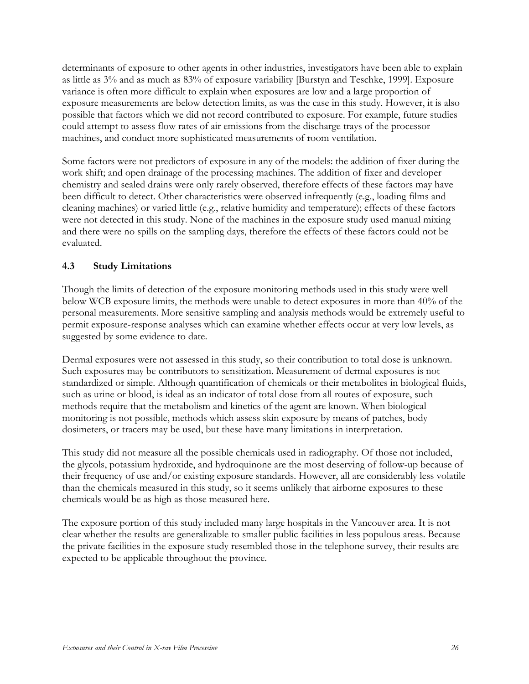determinants of exposure to other agents in other industries, investigators have been able to explain as little as 3% and as much as 83% of exposure variability [Burstyn and Teschke, 1999]. Exposure variance is often more difficult to explain when exposures are low and a large proportion of exposure measurements are below detection limits, as was the case in this study. However, it is also possible that factors which we did not record contributed to exposure. For example, future studies could attempt to assess flow rates of air emissions from the discharge trays of the processor machines, and conduct more sophisticated measurements of room ventilation.

Some factors were not predictors of exposure in any of the models: the addition of fixer during the work shift; and open drainage of the processing machines. The addition of fixer and developer chemistry and sealed drains were only rarely observed, therefore effects of these factors may have been difficult to detect. Other characteristics were observed infrequently (e.g., loading films and cleaning machines) or varied little (e.g., relative humidity and temperature); effects of these factors were not detected in this study. None of the machines in the exposure study used manual mixing and there were no spills on the sampling days, therefore the effects of these factors could not be evaluated.

### **4.3 Study Limitations**

Though the limits of detection of the exposure monitoring methods used in this study were well below WCB exposure limits, the methods were unable to detect exposures in more than 40% of the personal measurements. More sensitive sampling and analysis methods would be extremely useful to permit exposure-response analyses which can examine whether effects occur at very low levels, as suggested by some evidence to date.

Dermal exposures were not assessed in this study, so their contribution to total dose is unknown. Such exposures may be contributors to sensitization. Measurement of dermal exposures is not standardized or simple. Although quantification of chemicals or their metabolites in biological fluids, such as urine or blood, is ideal as an indicator of total dose from all routes of exposure, such methods require that the metabolism and kinetics of the agent are known. When biological monitoring is not possible, methods which assess skin exposure by means of patches, body dosimeters, or tracers may be used, but these have many limitations in interpretation.

This study did not measure all the possible chemicals used in radiography. Of those not included, the glycols, potassium hydroxide, and hydroquinone are the most deserving of follow-up because of their frequency of use and/or existing exposure standards. However, all are considerably less volatile than the chemicals measured in this study, so it seems unlikely that airborne exposures to these chemicals would be as high as those measured here.

The exposure portion of this study included many large hospitals in the Vancouver area. It is not clear whether the results are generalizable to smaller public facilities in less populous areas. Because the private facilities in the exposure study resembled those in the telephone survey, their results are expected to be applicable throughout the province.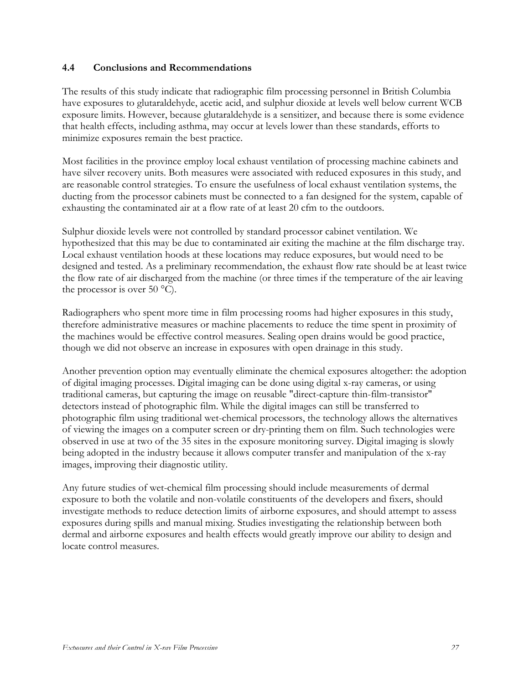#### **4.4 Conclusions and Recommendations**

The results of this study indicate that radiographic film processing personnel in British Columbia have exposures to glutaraldehyde, acetic acid, and sulphur dioxide at levels well below current WCB exposure limits. However, because glutaraldehyde is a sensitizer, and because there is some evidence that health effects, including asthma, may occur at levels lower than these standards, efforts to minimize exposures remain the best practice.

Most facilities in the province employ local exhaust ventilation of processing machine cabinets and have silver recovery units. Both measures were associated with reduced exposures in this study, and are reasonable control strategies. To ensure the usefulness of local exhaust ventilation systems, the ducting from the processor cabinets must be connected to a fan designed for the system, capable of exhausting the contaminated air at a flow rate of at least 20 cfm to the outdoors.

Sulphur dioxide levels were not controlled by standard processor cabinet ventilation. We hypothesized that this may be due to contaminated air exiting the machine at the film discharge tray. Local exhaust ventilation hoods at these locations may reduce exposures, but would need to be designed and tested. As a preliminary recommendation, the exhaust flow rate should be at least twice the flow rate of air discharged from the machine (or three times if the temperature of the air leaving the processor is over 50  $^{\circ}$ C).

Radiographers who spent more time in film processing rooms had higher exposures in this study, therefore administrative measures or machine placements to reduce the time spent in proximity of the machines would be effective control measures. Sealing open drains would be good practice, though we did not observe an increase in exposures with open drainage in this study.

Another prevention option may eventually eliminate the chemical exposures altogether: the adoption of digital imaging processes. Digital imaging can be done using digital x-ray cameras, or using traditional cameras, but capturing the image on reusable "direct-capture thin-film-transistor" detectors instead of photographic film. While the digital images can still be transferred to photographic film using traditional wet-chemical processors, the technology allows the alternatives of viewing the images on a computer screen or dry-printing them on film. Such technologies were observed in use at two of the 35 sites in the exposure monitoring survey. Digital imaging is slowly being adopted in the industry because it allows computer transfer and manipulation of the x-ray images, improving their diagnostic utility.

Any future studies of wet-chemical film processing should include measurements of dermal exposure to both the volatile and non-volatile constituents of the developers and fixers, should investigate methods to reduce detection limits of airborne exposures, and should attempt to assess exposures during spills and manual mixing. Studies investigating the relationship between both dermal and airborne exposures and health effects would greatly improve our ability to design and locate control measures.